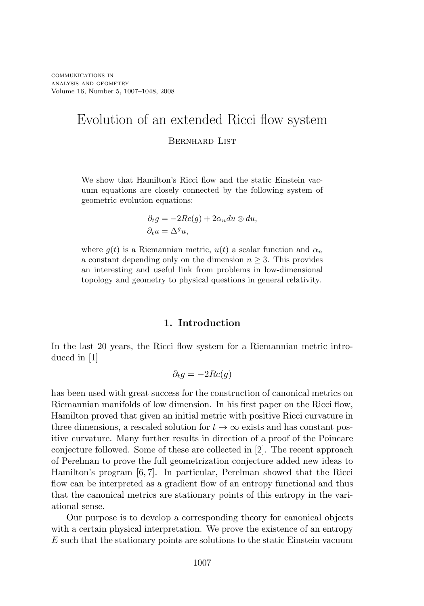# Evolution of an extended Ricci flow system Bernhard List

We show that Hamilton's Ricci flow and the static Einstein vacuum equations are closely connected by the following system of geometric evolution equations:

$$
\partial_t g = -2Rc(g) + 2\alpha_n du \otimes du,
$$
  

$$
\partial_t u = \Delta^g u,
$$

where  $g(t)$  is a Riemannian metric,  $u(t)$  a scalar function and  $\alpha_n$ a constant depending only on the dimension  $n \geq 3$ . This provides an interesting and useful link from problems in low-dimensional topology and geometry to physical questions in general relativity.

## **1. Introduction**

In the last 20 years, the Ricci flow system for a Riemannian metric introduced in [1]

$$
\partial_t g = -2Rc(g)
$$

has been used with great success for the construction of canonical metrics on Riemannian manifolds of low dimension. In his first paper on the Ricci flow, Hamilton proved that given an initial metric with positive Ricci curvature in three dimensions, a rescaled solution for  $t \to \infty$  exists and has constant positive curvature. Many further results in direction of a proof of the Poincare conjecture followed. Some of these are collected in [2]. The recent approach of Perelman to prove the full geometrization conjecture added new ideas to Hamilton's program [6, 7]. In particular, Perelman showed that the Ricci flow can be interpreted as a gradient flow of an entropy functional and thus that the canonical metrics are stationary points of this entropy in the variational sense.

Our purpose is to develop a corresponding theory for canonical objects with a certain physical interpretation. We prove the existence of an entropy E such that the stationary points are solutions to the static Einstein vacuum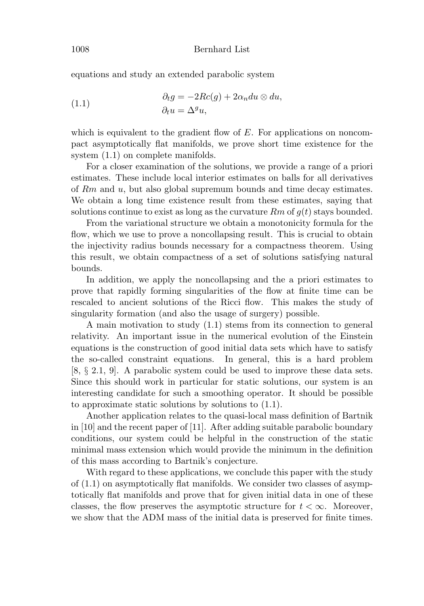equations and study an extended parabolic system

(1.1) 
$$
\begin{aligned}\n\partial_t g &= -2Rc(g) + 2\alpha_n du \otimes du, \\
\partial_t u &= \Delta^g u,\n\end{aligned}
$$

which is equivalent to the gradient flow of  $E$ . For applications on noncompact asymptotically flat manifolds, we prove short time existence for the system  $(1.1)$  on complete manifolds.

For a closer examination of the solutions, we provide a range of a priori estimates. These include local interior estimates on balls for all derivatives of  $Rm$  and  $u$ , but also global supremum bounds and time decay estimates. We obtain a long time existence result from these estimates, saying that solutions continue to exist as long as the curvature  $Rm$  of  $q(t)$  stays bounded.

From the variational structure we obtain a monotonicity formula for the flow, which we use to prove a noncollapsing result. This is crucial to obtain the injectivity radius bounds necessary for a compactness theorem. Using this result, we obtain compactness of a set of solutions satisfying natural bounds.

In addition, we apply the noncollapsing and the a priori estimates to prove that rapidly forming singularities of the flow at finite time can be rescaled to ancient solutions of the Ricci flow. This makes the study of singularity formation (and also the usage of surgery) possible.

A main motivation to study (1.1) stems from its connection to general relativity. An important issue in the numerical evolution of the Einstein equations is the construction of good initial data sets which have to satisfy the so-called constraint equations. In general, this is a hard problem [8, § 2.1, 9]. A parabolic system could be used to improve these data sets. Since this should work in particular for static solutions, our system is an interesting candidate for such a smoothing operator. It should be possible to approximate static solutions by solutions to (1.1).

Another application relates to the quasi-local mass definition of Bartnik in [10] and the recent paper of [11]. After adding suitable parabolic boundary conditions, our system could be helpful in the construction of the static minimal mass extension which would provide the minimum in the definition of this mass according to Bartnik's conjecture.

With regard to these applications, we conclude this paper with the study of (1.1) on asymptotically flat manifolds. We consider two classes of asymptotically flat manifolds and prove that for given initial data in one of these classes, the flow preserves the asymptotic structure for  $t < \infty$ . Moreover, we show that the ADM mass of the initial data is preserved for finite times.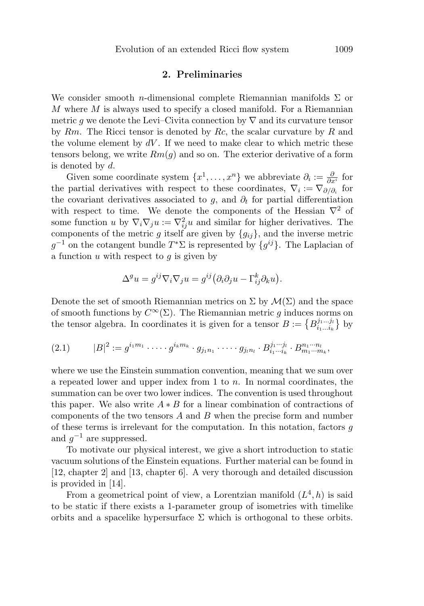## **2. Preliminaries**

We consider smooth *n*-dimensional complete Riemannian manifolds  $\Sigma$  or  $M$  where  $M$  is always used to specify a closed manifold. For a Riemannian metric q we denote the Levi–Civita connection by  $\nabla$  and its curvature tensor by  $Rm$ . The Ricci tensor is denoted by  $Rc$ , the scalar curvature by  $R$  and the volume element by  $dV$ . If we need to make clear to which metric these tensors belong, we write  $Rm(g)$  and so on. The exterior derivative of a form is denoted by d.

Given some coordinate system  $\{x^1, \ldots, x^n\}$  we abbreviate  $\partial_i := \frac{\partial}{\partial x^i}$  for the partial derivatives with respect to these coordinates,  $\nabla_i := \nabla_{\partial/\partial_i}$  for the covariant derivatives associated to g, and  $\partial_t$  for partial differentiation with respect to time. We denote the components of the Hessian  $\nabla^2$  of some function u by  $\nabla_i \nabla_j u := \nabla_{ij}^2 u$  and similar for higher derivatives. The components of the metric g itself are given by  ${g_{ij}}$ , and the inverse metric  $g^{-1}$  on the cotangent bundle  $T^*\Sigma$  is represented by  $\{g^{ij}\}\$ . The Laplacian of a function  $u$  with respect to  $g$  is given by

$$
\Delta^g u = g^{ij} \nabla_i \nabla_j u = g^{ij} (\partial_i \partial_j u - \Gamma^k_{ij} \partial_k u).
$$

Denote the set of smooth Riemannian metrics on  $\Sigma$  by  $\mathcal{M}(\Sigma)$  and the space of smooth functions by  $C^{\infty}(\Sigma)$ . The Riemannian metric g induces norms on the tensor algebra. In coordinates it is given for a tensor  $B := \{B^{j_1...j_l}_{i_1...i_k}\}$  by

$$
(2.1) \t |B|^2 := g^{i_1 m_1} \cdot \dots \cdot g^{i_k m_k} \cdot g_{j_1 n_1} \cdot \dots \cdot g_{j_l n_l} \cdot B_{i_1 \dots i_k}^{j_1 \dots j_l} \cdot B_{m_1 \dots m_k}^{n_1 \dots n_l},
$$

where we use the Einstein summation convention, meaning that we sum over a repeated lower and upper index from 1 to  $n$ . In normal coordinates, the summation can be over two lower indices. The convention is used throughout this paper. We also write  $A * B$  for a linear combination of contractions of components of the two tensors  $A$  and  $B$  when the precise form and number of these terms is irrelevant for the computation. In this notation, factors g and  $g^{-1}$  are suppressed.

To motivate our physical interest, we give a short introduction to static vacuum solutions of the Einstein equations. Further material can be found in [12, chapter 2] and [13, chapter 6]. A very thorough and detailed discussion is provided in [14].

From a geometrical point of view, a Lorentzian manifold  $(L<sup>4</sup>, h)$  is said to be static if there exists a 1-parameter group of isometries with timelike orbits and a spacelike hypersurface  $\Sigma$  which is orthogonal to these orbits.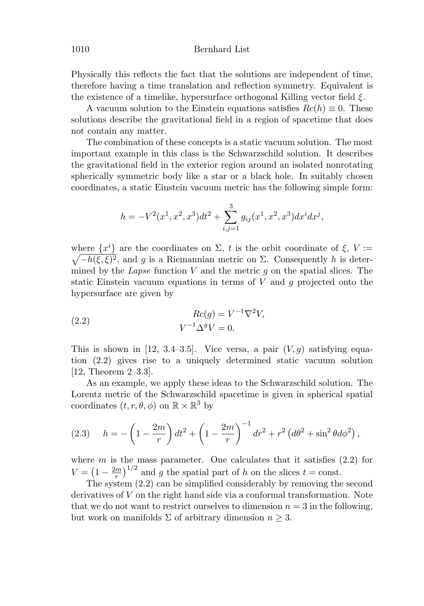Physically this reflects the fact that the solutions are independent of time, therefore having a time translation and reflection symmetry. Equivalent is the existence of a timelike, hypersurface orthogonal Killing vector field  $\xi$ .

A vacuum solution to the Einstein equations satisfies  $Rc(h) \equiv 0$ . These solutions describe the gravitational field in a region of spacetime that does not contain any matter.

The combination of these concepts is a static vacuum solution. The most important example in this class is the Schwarzschild solution. It describes the gravitational field in the exterior region around an isolated nonrotating spherically symmetric body like a star or a black hole. In suitably chosen coordinates, a static Einstein vacuum metric has the following simple form:

$$
h = -V^{2}(x^{1}, x^{2}, x^{3})dt^{2} + \sum_{i,j=1}^{3} g_{ij}(x^{1}, x^{2}, x^{3})dx^{i}dx^{j},
$$

where  $\{x^i\}$  are the coordinates on  $\Sigma$ , t is the orbit coordinate of  $\xi$ ,  $V :=$  $\sqrt{-h(\xi,\xi)^2}$ , and g is a Riemannian metric on  $\Sigma$ . Consequently h is determined by the Lapse function  $V$  and the metric  $g$  on the spatial slices. The static Einstein vacuum equations in terms of  $V$  and  $g$  projected onto the hypersurface are given by

(2.2) 
$$
Rc(g) = V^{-1}\nabla^2 V,
$$

$$
V^{-1}\Delta^g V = 0.
$$

This is shown in [12, 3.4–3.5]. Vice versa, a pair  $(V, g)$  satisfying equation (2.2) gives rise to a uniquely determined static vacuum solution [12, Theorem 2–3.3].

As an example, we apply these ideas to the Schwarzschild solution. The Lorentz metric of the Schwarzschild spacetime is given in spherical spatial coordinates  $(t, r, \theta, \phi)$  on  $\mathbb{R} \times \mathbb{R}^3$  by

(2.3) 
$$
h = -\left(1 - \frac{2m}{r}\right)dt^2 + \left(1 - \frac{2m}{r}\right)^{-1}dr^2 + r^2\left(d\theta^2 + \sin^2\theta d\phi^2\right),
$$

where m is the mass parameter. One calculates that it satisfies  $(2.2)$  for  $V = \left(1 - \frac{2m}{r}\right)^{1/2}$  and g the spatial part of h on the slices  $t = \text{const.}$ 

The system (2.2) can be simplified considerably by removing the second derivatives of V on the right hand side via a conformal transformation. Note that we do not want to restrict ourselves to dimension  $n = 3$  in the following, but work on manifolds  $\Sigma$  of arbitrary dimension  $n \geq 3$ .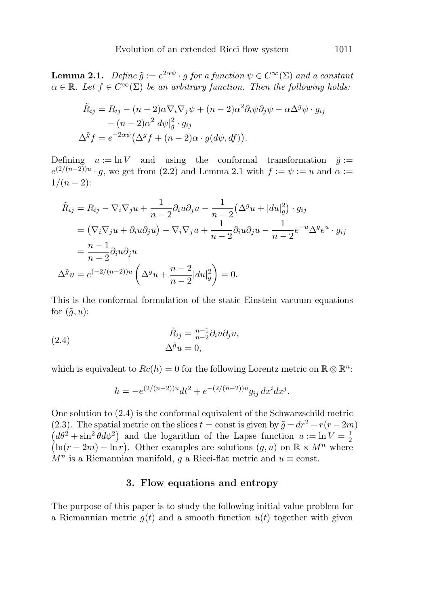**Lemma 2.1.** Define  $\tilde{g} := e^{2\alpha \psi} \cdot g$  for a function  $\psi \in C^{\infty}(\Sigma)$  and a constant  $\alpha \in \mathbb{R}$ . Let  $f \in C^{\infty}(\Sigma)$  be an arbitrary function. Then the following holds:

$$
\tilde{R}_{ij} = R_{ij} - (n-2)\alpha \nabla_i \nabla_j \psi + (n-2)\alpha^2 \partial_i \psi \partial_j \psi - \alpha \Delta^g \psi \cdot g_{ij}
$$

$$
- (n-2)\alpha^2 |d\psi|_g^2 \cdot g_{ij}
$$

$$
\Delta^{\tilde{g}} f = e^{-2\alpha \psi} (\Delta^g f + (n-2)\alpha \cdot g(d\psi, df)).
$$

Defining  $u := \ln V$  and using the conformal transformation  $\tilde{g} :=$  $e^{(2/(n-2))u} \cdot g$ , we get from (2.2) and Lemma 2.1 with  $f := \psi := u$  and  $\alpha :=$  $1/(n-2)$ :

$$
\tilde{R}_{ij} = R_{ij} - \nabla_i \nabla_j u + \frac{1}{n-2} \partial_i u \partial_j u - \frac{1}{n-2} (\Delta^g u + |du|_g^2) \cdot g_{ij}
$$
  
\n
$$
= (\nabla_i \nabla_j u + \partial_i u \partial_j u) - \nabla_i \nabla_j u + \frac{1}{n-2} \partial_i u \partial_j u - \frac{1}{n-2} e^{-u} \Delta^g e^u \cdot g_{ij}
$$
  
\n
$$
= \frac{n-1}{n-2} \partial_i u \partial_j u
$$
  
\n
$$
\Delta^{\tilde{g}} u = e^{(-2/(n-2))u} \left( \Delta^g u + \frac{n-2}{n-2} |du|_g^2 \right) = 0.
$$

This is the conformal formulation of the static Einstein vacuum equations for  $(\tilde{q},u)$ :

(2.4) 
$$
\tilde{R}_{ij} = \frac{n-1}{n-2} \partial_i u \partial_j u,
$$

$$
\Delta^{\tilde{g}} u = 0,
$$

which is equivalent to  $Re(h) = 0$  for the following Lorentz metric on  $\mathbb{R} \otimes \mathbb{R}^n$ :

$$
h = -e^{(2/(n-2))u}dt^{2} + e^{-(2/(n-2))u}g_{ij} dx^{i} dx^{j}.
$$

One solution to (2.4) is the conformal equivalent of the Schwarzschild metric (2.3). The spatial metric on the slices  $t =$  const is given by  $\tilde{g} = dr^2 + r(r - 2m)$  $(d\theta^2 + \sin^2 \theta d\phi^2)$  and the logarithm of the Lapse function  $u := \ln V = \frac{1}{2}$  $(\ln(r-2m) - \ln r)$ . Other examples are solutions  $(g, u)$  on  $\mathbb{R} \times M^n$  where  $M^n$  is a Riemannian manifold, g a Ricci-flat metric and  $u \equiv \text{const.}$ 

# **3. Flow equations and entropy**

The purpose of this paper is to study the following initial value problem for a Riemannian metric  $g(t)$  and a smooth function  $u(t)$  together with given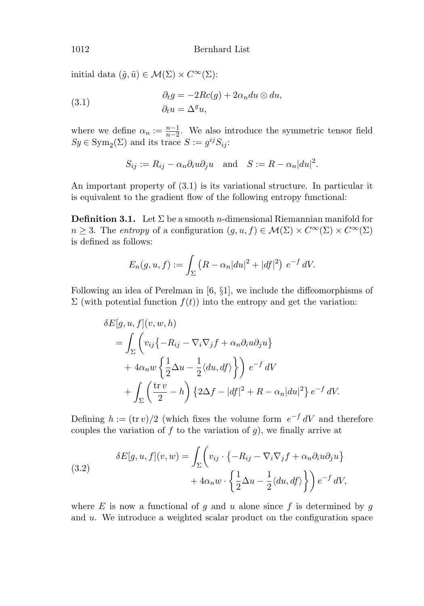initial data  $(\tilde{g}, \tilde{u}) \in \mathcal{M}(\Sigma) \times C^{\infty}(\Sigma)$ :

(3.1) 
$$
\begin{aligned}\n\partial_t g &= -2Rc(g) + 2\alpha_n du \otimes du, \\
\partial_t u &= \Delta^g u,\n\end{aligned}
$$

where we define  $\alpha_n := \frac{n-1}{n-2}$ . We also introduce the symmetric tensor field  $Sy \in \text{Sym}_2(\Sigma)$  and its trace  $S := g^{ij} S_{ij}$ :

$$
S_{ij} := R_{ij} - \alpha_n \partial_i u \partial_j u \quad \text{and} \quad S := R - \alpha_n |du|^2.
$$

An important property of (3.1) is its variational structure. In particular it is equivalent to the gradient flow of the following entropy functional:

**Definition 3.1.** Let  $\Sigma$  be a smooth *n*-dimensional Riemannian manifold for  $n \geq 3$ . The entropy of a configuration  $(g, u, f) \in \mathcal{M}(\Sigma) \times C^{\infty}(\Sigma) \times C^{\infty}(\Sigma)$ is defined as follows:

$$
E_n(g, u, f) := \int_{\Sigma} \left( R - \alpha_n |du|^2 + |df|^2 \right) e^{-f} dV.
$$

Following an idea of Perelman in [6, §1], we include the diffeomorphisms of  $\Sigma$  (with potential function  $f(t)$ ) into the entropy and get the variation:

$$
\delta E[g, u, f](v, w, h)
$$
  
=  $\int_{\Sigma} \left( v_{ij} \{-R_{ij} - \nabla_i \nabla_j f + \alpha_n \partial_i u \partial_j u \} + 4\alpha_n w \left\{ \frac{1}{2} \Delta u - \frac{1}{2} \langle du, df \rangle \right\} \right) e^{-f} dV$   
+  $\int_{\Sigma} \left( \frac{\text{tr} \, v}{2} - h \right) \{ 2\Delta f - |df|^2 + R - \alpha_n |du|^2 \} e^{-f} dV.$ 

Defining  $h := (\text{tr } v)/2$  (which fixes the volume form  $e^{-f} dV$  and therefore couples the variation of f to the variation of  $g$ ), we finally arrive at

(3.2) 
$$
\delta E[g, u, f](v, w) = \int_{\Sigma} \left( v_{ij} \cdot \{-R_{ij} - \nabla_i \nabla_j f + \alpha_n \partial_i u \partial_j u\} + 4\alpha_n w \cdot \left\{\frac{1}{2} \Delta u - \frac{1}{2} \langle du, df \rangle \right\} \right) e^{-f} dV,
$$

where  $E$  is now a functional of g and u alone since f is determined by g and u. We introduce a weighted scalar product on the configuration space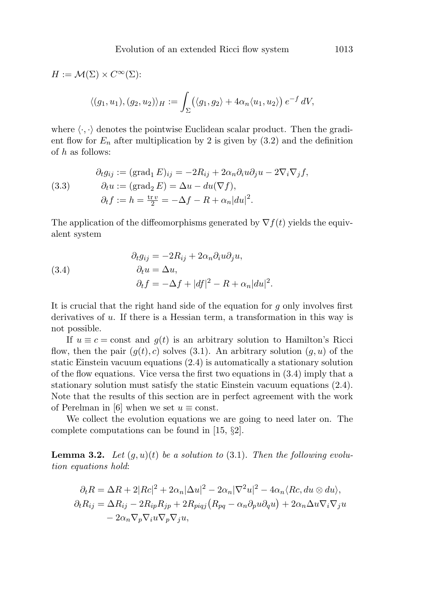$$
H := \mathcal{M}(\Sigma) \times C^{\infty}(\Sigma):
$$
  

$$
\langle (g_1, u_1), (g_2, u_2) \rangle_H := \int_{\Sigma} (\langle g_1, g_2 \rangle + 4\alpha_n \langle u_1, u_2 \rangle) e^{-f} dV,
$$

where  $\langle \cdot, \cdot \rangle$  denotes the pointwise Euclidean scalar product. Then the gradient flow for  $E_n$  after multiplication by 2 is given by  $(3.2)$  and the definition of h as follows:

(3.3) 
$$
\partial_t g_{ij} := (\text{grad}_1 E)_{ij} = -2R_{ij} + 2\alpha_n \partial_i u \partial_j u - 2\nabla_i \nabla_j f,
$$

$$
\partial_t u := (\text{grad}_2 E) = \Delta u - du(\nabla f),
$$

$$
\partial_t f := h = \frac{\text{tr } v}{2} = -\Delta f - R + \alpha_n |du|^2.
$$

The application of the diffeomorphisms generated by  $\nabla f(t)$  yields the equivalent system

(3.4) 
$$
\begin{aligned}\n\partial_t g_{ij} &= -2R_{ij} + 2\alpha_n \partial_i u \partial_j u, \\
\partial_t u &= \Delta u, \\
\partial_t f &= -\Delta f + |df|^2 - R + \alpha_n |du|^2.\n\end{aligned}
$$

It is crucial that the right hand side of the equation for  $g$  only involves first derivatives of  $u$ . If there is a Hessian term, a transformation in this way is not possible.

If  $u \equiv c = \text{const}$  and  $g(t)$  is an arbitrary solution to Hamilton's Ricci flow, then the pair  $(g(t), c)$  solves (3.1). An arbitrary solution  $(g, u)$  of the static Einstein vacuum equations (2.4) is automatically a stationary solution of the flow equations. Vice versa the first two equations in (3.4) imply that a stationary solution must satisfy the static Einstein vacuum equations (2.4). Note that the results of this section are in perfect agreement with the work of Perelman in [6] when we set  $u \equiv \text{const.}$ 

We collect the evolution equations we are going to need later on. The complete computations can be found in [15, §2].

**Lemma 3.2.** Let  $(q, u)(t)$  be a solution to  $(3.1)$ . Then the following evolution equations hold:

$$
\partial_t R = \Delta R + 2|Rc|^2 + 2\alpha_n|\Delta u|^2 - 2\alpha_n|\nabla^2 u|^2 - 4\alpha_n \langle Rc, du \otimes du \rangle,
$$
  
\n
$$
\partial_t R_{ij} = \Delta R_{ij} - 2R_{ip}R_{jp} + 2R_{piqj}(R_{pq} - \alpha_n \partial_p u \partial_q u) + 2\alpha_n \Delta u \nabla_i \nabla_j u
$$
  
\n
$$
- 2\alpha_n \nabla_p \nabla_i u \nabla_p \nabla_j u,
$$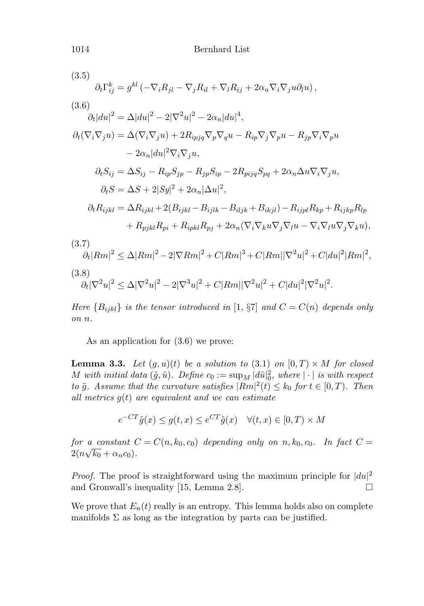$\partial_t \Gamma^k_{ij} = g^{kl} \left( - \nabla_i R_{jl} - \nabla_j R_{il} + \nabla_l R_{ij} + 2 \alpha_n \nabla_i \nabla_j u \partial_l u \right),$ (3.5)  $\partial_t |du|^2 = \Delta |du|^2 - 2|\nabla^2 u|^2 - 2\alpha_n |du|^4,$ (3.6)  $\partial_t(\nabla_i\nabla_ju)=\Delta(\nabla_i\nabla_ju)+2R_{ipjq}\nabla_p\nabla_qu-R_{ip}\nabla_j\nabla_pu-R_{ip}\nabla_i\nabla_pu$  $-2\alpha_n|du|^2\nabla_i\nabla_ju,$  $\partial_t S_{ij} = \Delta S_{ij} - R_{in}S_{in} - R_{in}S_{in} - 2R_{min}S_{na} + 2\alpha_n \Delta u \nabla_i \nabla_j u,$  $\partial_t S = \Delta S + 2|Sy|^2 + 2\alpha_n |\Delta u|^2,$  $\partial_t R_{ijkl} = \Delta R_{ijkl} + 2(B_{ijkl} - B_{iilk} - B_{iljk} + B_{ikjl}) - R_{ijpl}R_{kp} + R_{ijkp}R_{lp}$  $+ R_{nikl}R_{ni} + R_{inkl}R_{ni} + 2\alpha_n(\nabla_i\nabla_k u\nabla_j\nabla_l u - \nabla_i\nabla_l u\nabla_j\nabla_k u),$  $\partial_t |Rm|^2 \leq \Delta |Rm|^2 - 2|\nabla Rm|^2 + C|Rm|^3 + C|Rm||\nabla^2 u|^2 + C|du|^2|Rm|^2,$ (3.7)  $\partial_t |\nabla^2 u|^2 \leq \Delta |\nabla^2 u|^2 - 2 |\nabla^3 u|^2 + C |Rm| |\nabla^2 u|^2 + C |du|^2 |\nabla^2 u|^2.$ (3.8)

Here  ${B_{ijkl}}$  is the tensor introduced in [1, §7] and  $C = C(n)$  depends only on n.

As an application for (3.6) we prove:

**Lemma 3.3.** Let  $(g, u)(t)$  be a solution to  $(3.1)$  on  $[0, T) \times M$  for closed M with initial data  $(\tilde{g}, \tilde{u})$ . Define  $c_0 := \sup_M |d\tilde{u}|_0^2$ , where  $|\cdot|$  is with respect to  $\tilde{g}$ . Assume that the curvature satisfies  $|Rm|^2(t) \leq k_0$  for  $t \in [0, T)$ . Then all metrics  $q(t)$  are equivalent and we can estimate

$$
e^{-CT}\tilde{g}(x) \le g(t,x) \le e^{CT}\tilde{g}(x) \quad \forall (t,x) \in [0,T) \times M
$$

for a constant  $C = C(n, k_0, c_0)$  depending only on n,  $k_0, c_0$ . In fact  $C =$ for a constant  $\alpha$ <br> $2(n\sqrt{k_0} + \alpha_n c_0)$ .

*Proof.* The proof is straightforward using the maximum principle for  $|du|^2$ and Gronwall's inequality [15, Lemma 2.8].  $\Box$ 

We prove that  $E_n(t)$  really is an entropy. This lemma holds also on complete manifolds  $\Sigma$  as long as the integration by parts can be justified.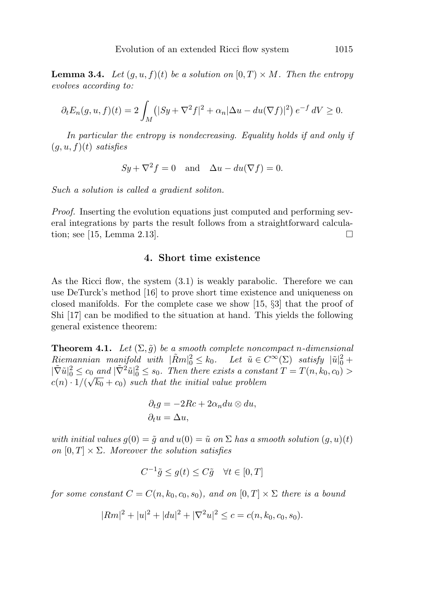**Lemma 3.4.** Let  $(g, u, f)(t)$  be a solution on  $[0, T) \times M$ . Then the entropy evolves according to:

$$
\partial_t E_n(g, u, f)(t) = 2 \int_M \left( |Sy + \nabla^2 f|^2 + \alpha_n |\Delta u - du(\nabla f)|^2 \right) e^{-f} dV \ge 0.
$$

In particular the entropy is nondecreasing. Equality holds if and only if  $(g, u, f)(t)$  satisfies

$$
Sy + \nabla^2 f = 0
$$
 and  $\Delta u - du(\nabla f) = 0$ .

Such a solution is called a gradient soliton.

Proof. Inserting the evolution equations just computed and performing several integrations by parts the result follows from a straightforward calculation; see  $[15, \text{Lemma } 2.13].$  $\Box$ 

# **4. Short time existence**

As the Ricci flow, the system (3.1) is weakly parabolic. Therefore we can use DeTurck's method [16] to prove short time existence and uniqueness on closed manifolds. For the complete case we show [15, §3] that the proof of Shi [17] can be modified to the situation at hand. This yields the following general existence theorem:

**Theorem 4.1.** Let  $(\Sigma, \tilde{g})$  be a smooth complete noncompact n-dimensional  $Riemannian$  manifold with  $|\tilde{R}m|^2_0 \le k_0$ . Let  $\tilde{u} \in C^{\infty}(\Sigma)$  satisfy  $|\tilde{u}|^2_0 +$  $|\tilde{\nabla} \tilde{u}|_0^2 \leq c_0$  and  $|\tilde{\nabla}^2 \tilde{u}|_0^2 \leq s_0$ . Then there exists a constant  $T = T(n, k_0, c_0) >$  $c(n) \cdot 1/(\sqrt{k_0} + c_0)$  such that the initial value problem

$$
\partial_t g = -2Rc + 2\alpha_n du \otimes du,
$$
  

$$
\partial_t u = \Delta u,
$$

with initial values  $q(0) = \tilde{q}$  and  $u(0) = \tilde{u}$  on  $\Sigma$  has a smooth solution  $(q, u)(t)$ on  $[0, T] \times \Sigma$ . Moreover the solution satisfies

$$
C^{-1}\tilde{g} \le g(t) \le C\tilde{g} \quad \forall t \in [0, T]
$$

for some constant  $C = C(n, k_0, c_0, s_0)$ , and on  $[0, T] \times \Sigma$  there is a bound

$$
|Rm|^{2} + |u|^{2} + |du|^{2} + |\nabla^{2} u|^{2} \leq c = c(n, k_0, c_0, s_0).
$$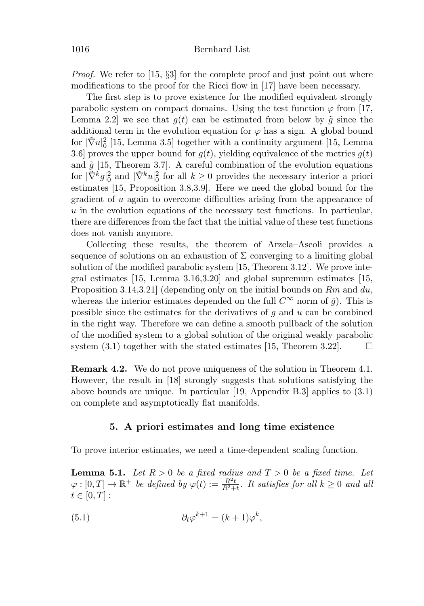*Proof.* We refer to [15,  $\S3$ ] for the complete proof and just point out where modifications to the proof for the Ricci flow in [17] have been necessary.

The first step is to prove existence for the modified equivalent strongly parabolic system on compact domains. Using the test function  $\varphi$  from [17, Lemma 2.2 we see that  $q(t)$  can be estimated from below by  $\tilde{q}$  since the additional term in the evolution equation for  $\varphi$  has a sign. A global bound for  $|\tilde{\nabla}u|_0^2$  [15, Lemma 3.5] together with a continuity argument [15, Lemma 3.6] proves the upper bound for  $g(t)$ , yielding equivalence of the metrics  $g(t)$ and  $\tilde{g}$  [15, Theorem 3.7]. A careful combination of the evolution equations for  $|\tilde{\nabla}^k g|^2_0$  and  $|\tilde{\nabla}^k u|^2_0$  for all  $k \geq 0$  provides the necessary interior a priori estimates [15, Proposition 3.8,3.9]. Here we need the global bound for the gradient of u again to overcome difficulties arising from the appearance of  $u$  in the evolution equations of the necessary test functions. In particular, there are differences from the fact that the initial value of these test functions does not vanish anymore.

Collecting these results, the theorem of Arzela–Ascoli provides a sequence of solutions on an exhaustion of  $\Sigma$  converging to a limiting global solution of the modified parabolic system [15, Theorem 3.12]. We prove integral estimates [15, Lemma 3.16,3.20] and global supremum estimates [15, Proposition 3.14,3.21 (depending only on the initial bounds on  $Rm$  and  $du$ , whereas the interior estimates depended on the full  $C^{\infty}$  norm of  $\tilde{g}$ ). This is possible since the estimates for the derivatives of  $q$  and  $u$  can be combined in the right way. Therefore we can define a smooth pullback of the solution of the modified system to a global solution of the original weakly parabolic system  $(3.1)$  together with the stated estimates [15, Theorem 3.22].  $\Box$ 

**Remark 4.2.** We do not prove uniqueness of the solution in Theorem 4.1. However, the result in [18] strongly suggests that solutions satisfying the above bounds are unique. In particular [19, Appendix B.3] applies to (3.1) on complete and asymptotically flat manifolds.

# **5. A priori estimates and long time existence**

To prove interior estimates, we need a time-dependent scaling function.

**Lemma 5.1.** Let  $R > 0$  be a fixed radius and  $T > 0$  be a fixed time. Let  $\varphi:[0,T]\to\mathbb{R}^+$  be defined by  $\varphi(t):=\frac{R^2t}{R^2+t}$ . It satisfies for all  $k\geq 0$  and all  $t \in [0, T]$ :

(5.1) 
$$
\partial_t \varphi^{k+1} = (k+1)\varphi^k,
$$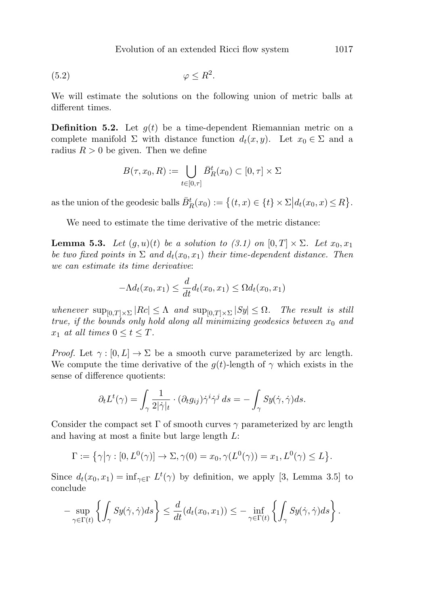$$
(5.2) \t\t \t\t \t \varphi \le R^2.
$$

We will estimate the solutions on the following union of metric balls at different times.

**Definition 5.2.** Let  $g(t)$  be a time-dependent Riemannian metric on a complete manifold  $\Sigma$  with distance function  $d_t(x, y)$ . Let  $x_0 \in \Sigma$  and a radius  $R > 0$  be given. Then we define

$$
B(\tau, x_0, R) := \bigcup_{t \in [0, \tau]} \bar{B}_R^t(x_0) \subset [0, \tau] \times \Sigma
$$

as the union of the geodesic balls  $\bar{B}_R^t(x_0) := \{(t, x) \in \{t\} \times \Sigma | d_t(x_0, x) \le R\}.$ 

We need to estimate the time derivative of the metric distance:

**Lemma 5.3.** Let  $(g, u)(t)$  be a solution to  $(3.1)$  on  $[0, T] \times \Sigma$ . Let  $x_0, x_1$ be two fixed points in  $\Sigma$  and  $d_t(x_0, x_1)$  their time-dependent distance. Then we can estimate its time derivative:

$$
-\Lambda d_t(x_0,x_1) \le \frac{d}{dt}d_t(x_0,x_1) \le \Omega d_t(x_0,x_1)
$$

whenever  $\sup_{[0,T]\times\Sigma} |Rc| \leq \Lambda$  and  $\sup_{[0,T]\times\Sigma} |Sy| \leq \Omega$ . The result is still true, if the bounds only hold along all minimizing geodesics between  $x_0$  and  $x_1$  at all times  $0 \le t \le T$ .

*Proof.* Let  $\gamma : [0, L] \to \Sigma$  be a smooth curve parameterized by arc length. We compute the time derivative of the  $g(t)$ -length of  $\gamma$  which exists in the sense of difference quotients:

$$
\partial_t L^t(\gamma) = \int_{\gamma} \frac{1}{2|\dot{\gamma}|_t} \cdot (\partial_t g_{ij}) \dot{\gamma}^i \dot{\gamma}^j ds = - \int_{\gamma} S y(\dot{\gamma}, \dot{\gamma}) ds.
$$

Consider the compact set  $\Gamma$  of smooth curves  $\gamma$  parameterized by arc length and having at most a finite but large length L:

$$
\Gamma := \left\{ \gamma \middle| \gamma : [0, L^0(\gamma)] \to \Sigma, \gamma(0) = x_0, \gamma(L^0(\gamma)) = x_1, L^0(\gamma) \le L \right\}.
$$

Since  $d_t(x_0, x_1) = \inf_{\gamma \in \Gamma} L^t(\gamma)$  by definition, we apply [3, Lemma 3.5] to conclude

$$
-\sup_{\gamma \in \Gamma(t)} \left\{ \int_{\gamma} Sy(\dot{\gamma}, \dot{\gamma}) ds \right\} \leq \frac{d}{dt} (d_t(x_0, x_1)) \leq -\inf_{\gamma \in \Gamma(t)} \left\{ \int_{\gamma} Sy(\dot{\gamma}, \dot{\gamma}) ds \right\}.
$$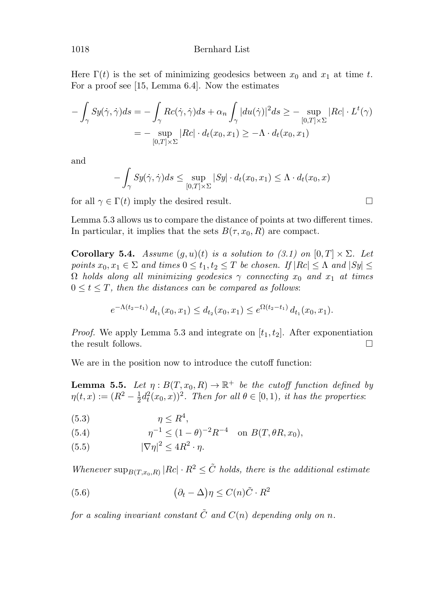Here  $\Gamma(t)$  is the set of minimizing geodesics between  $x_0$  and  $x_1$  at time t. For a proof see [15, Lemma 6.4]. Now the estimates

$$
-\int_{\gamma} Sy(\dot{\gamma}, \dot{\gamma}) ds = -\int_{\gamma} Rc(\dot{\gamma}, \dot{\gamma}) ds + \alpha_n \int_{\gamma} |du(\dot{\gamma})|^2 ds \ge - \sup_{[0, T] \times \Sigma} |Rc| \cdot L^t(\gamma)
$$
  
= 
$$
-\sup_{[0, T] \times \Sigma} |Rc| \cdot d_t(x_0, x_1) \ge -\Lambda \cdot d_t(x_0, x_1)
$$

and

$$
-\int_{\gamma} Sy(\dot{\gamma}, \dot{\gamma}) ds \leq \sup_{[0,T] \times \Sigma} |Sy| \cdot d_t(x_0, x_1) \leq \Lambda \cdot d_t(x_0, x)
$$

 $\Box$ 

for all  $\gamma \in \Gamma(t)$  imply the desired result.

Lemma 5.3 allows us to compare the distance of points at two different times. In particular, it implies that the sets  $B(\tau, x_0, R)$  are compact.

**Corollary 5.4.** Assume  $(g, u)(t)$  is a solution to  $(3.1)$  on  $[0, T] \times \Sigma$ . Let points  $x_0, x_1 \in \Sigma$  and times  $0 \le t_1, t_2 \le T$  be chosen. If  $|Rc| \le \Lambda$  and  $|Sy| \le$  $\Omega$  holds along all minimizing geodesics  $\gamma$  connecting  $x_0$  and  $x_1$  at times  $0 \leq t \leq T$ , then the distances can be compared as follows:

$$
e^{-\Lambda(t_2-t_1)} d_{t_1}(x_0,x_1) \leq d_{t_2}(x_0,x_1) \leq e^{\Omega(t_2-t_1)} d_{t_1}(x_0,x_1).
$$

*Proof.* We apply Lemma 5.3 and integrate on  $[t_1, t_2]$ . After exponentiation the result follows.  $\Box$ 

We are in the position now to introduce the cutoff function:

**Lemma 5.5.** Let  $\eta: B(T, x_0, R) \to \mathbb{R}^+$  be the cutoff function defined by  $\eta(t,x) := (R^2 - \frac{1}{2}d_t^2(x_0,x))^2$ . Then for all  $\theta \in [0,1)$ , it has the properties:

$$
(5.3) \t\t \eta \le R^4,
$$

(5.4) 
$$
\eta^{-1} \le (1 - \theta)^{-2} R^{-4} \text{ on } B(T, \theta R, x_0),
$$

(5.5)  $|\nabla \eta|^2 \le 4R^2 \cdot \eta$ .

Whenever  $\sup_{B(T,x_0,R)} |Rc| \cdot R^2 \leq \tilde{C}$  holds, there is the additional estimate

(5.6) 
$$
(\partial_t - \Delta)\eta \le C(n)\tilde{C} \cdot R^2
$$

for a scaling invariant constant  $\tilde{C}$  and  $C(n)$  depending only on n.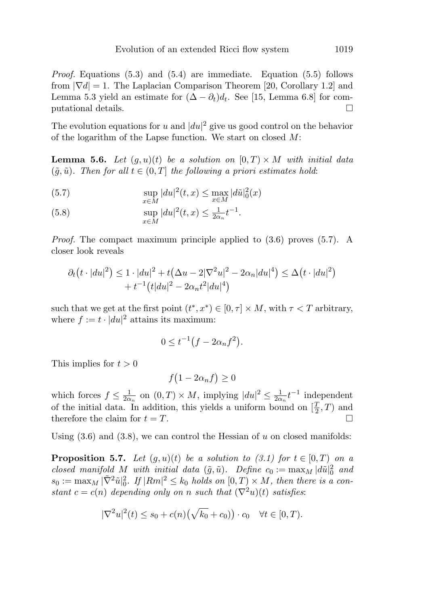*Proof.* Equations  $(5.3)$  and  $(5.4)$  are immediate. Equation  $(5.5)$  follows from  $|\nabla d| = 1$ . The Laplacian Comparison Theorem [20, Corollary 1.2] and Lemma 5.3 yield an estimate for  $(\Delta - \partial_t)d_t$ . See [15, Lemma 6.8] for computational details.  $\Box$ 

The evolution equations for u and  $|du|^2$  give us good control on the behavior of the logarithm of the Lapse function. We start on closed  $M$ :

**Lemma 5.6.** Let  $(g, u)(t)$  be a solution on  $[0, T) \times M$  with initial data  $(\tilde{q}, \tilde{u})$ . Then for all  $t \in (0, T]$  the following a priori estimates hold:

(5.7) 
$$
\sup_{x \in M} |du|^2(t,x) \leq \max_{x \in M} |d\tilde{u}|_0^2(x)
$$

(5.8) 
$$
\sup_{x \in M} |du|^2(t,x) \leq \frac{1}{2\alpha_n} t^{-1}.
$$

*Proof.* The compact maximum principle applied to  $(3.6)$  proves  $(5.7)$ . A closer look reveals

$$
\partial_t(t \cdot |du|^2) \le 1 \cdot |du|^2 + t(\Delta u - 2|\nabla^2 u|^2 - 2\alpha_n |du|^4) \le \Delta(t \cdot |du|^2) + t^{-1} (t|du|^2 - 2\alpha_n t^2|du|^4)
$$

such that we get at the first point  $(t^*, x^*) \in [0, \tau] \times M$ , with  $\tau < T$  arbitrary, where  $f := t \cdot |du|^2$  attains its maximum:

$$
0 \le t^{-1} \big(f - 2\alpha_n f^2\big).
$$

This implies for  $t > 0$ 

$$
f(1 - 2\alpha_n f) \ge 0
$$

which forces  $f \n\t\leq \frac{1}{2\alpha_n}$  on  $(0,T) \times M$ , implying  $|du|^2 \n\t\leq \frac{1}{2\alpha_n} t^{-1}$  independent of the initial data. In addition, this yields a uniform bound on  $[\frac{T}{2}, T)$  and therefore the claim for  $t = T$ .  $\Box$ 

Using  $(3.6)$  and  $(3.8)$ , we can control the Hessian of u on closed manifolds:

**Proposition 5.7.** Let  $(g, u)(t)$  be a solution to  $(3.1)$  for  $t \in [0, T)$  on a closed manifold M with initial data  $(\tilde{g}, \tilde{u})$ . Define  $c_0 := \max_M |d\tilde{u}|_0^2$  and  $s_0 := \max_M |\tilde{\nabla}^2 \tilde{u}|_0^2$ . If  $|Rm|^2 \leq k_0$  holds on  $[0,T] \times M$ , then there is a constant  $c = c(n)$  depending only on n such that  $(\nabla^2 u)(t)$  satisfies:

$$
|\nabla^2 u|^2(t) \le s_0 + c(n) (\sqrt{k_0} + c_0)) \cdot c_0 \quad \forall t \in [0, T).
$$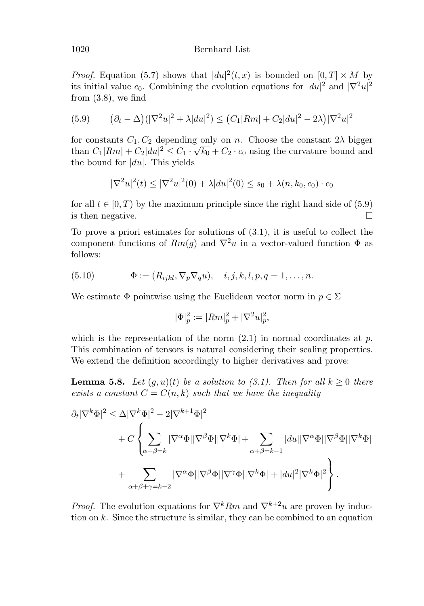## 1020 Bernhard List

*Proof.* Equation (5.7) shows that  $|du|^2(t, x)$  is bounded on  $[0, T] \times M$  by its initial value  $c_0$ . Combining the evolution equations for  $|du|^2$  and  $|\nabla^2 u|^2$ from  $(3.8)$ , we find

(5.9) 
$$
(\partial_t - \Delta)(|\nabla^2 u|^2 + \lambda |du|^2) \le (C_1 |Rm| + C_2 |du|^2 - 2\lambda)|\nabla^2 u|^2
$$

for constants  $C_1, C_2$  depending only on n. Choose the constant  $2\lambda$  bigger than  $C_1 | Rm| + C_2 |du|^2 \leq C_1 \cdot \sqrt{k_0} + C_2 \cdot c_0$  using the curvature bound and the bound for  $|du|$ . This yields

$$
|\nabla^2 u|^2(t) \le |\nabla^2 u|^2(0) + \lambda |du|^2(0) \le s_0 + \lambda (n, k_0, c_0) \cdot c_0
$$

for all  $t \in [0, T)$  by the maximum principle since the right hand side of (5.9) is then negative.  $\Box$ 

To prove a priori estimates for solutions of (3.1), it is useful to collect the component functions of  $Rm(g)$  and  $\nabla^2 u$  in a vector-valued function  $\Phi$  as follows:

(5.10) 
$$
\Phi := (R_{ijkl}, \nabla_p \nabla_q u), \quad i, j, k, l, p, q = 1, ..., n.
$$

We estimate  $\Phi$  pointwise using the Euclidean vector norm in  $p \in \Sigma$ 

$$
|\Phi|_p^2 := |Rm|_p^2 + |\nabla^2 u|_p^2,
$$

which is the representation of the norm  $(2.1)$  in normal coordinates at p. This combination of tensors is natural considering their scaling properties. We extend the definition accordingly to higher derivatives and prove:

**Lemma 5.8.** Let  $(g, u)(t)$  be a solution to (3.1). Then for all  $k \geq 0$  there exists a constant  $C = C(n, k)$  such that we have the inequality

$$
\partial_t |\nabla^k \Phi|^2 \leq \Delta |\nabla^k \Phi|^2 - 2|\nabla^{k+1} \Phi|^2
$$
  
+ 
$$
C \left\{ \sum_{\alpha+\beta=k} |\nabla^{\alpha} \Phi| |\nabla^{\beta} \Phi| |\nabla^k \Phi| + \sum_{\alpha+\beta=k-1} |du| |\nabla^{\alpha} \Phi| |\nabla^{\beta} \Phi| |\nabla^k \Phi| \right\}
$$
  
+ 
$$
\sum_{\alpha+\beta+\gamma=k-2} |\nabla^{\alpha} \Phi| |\nabla^{\beta} \Phi| |\nabla^{\gamma} \Phi| |\nabla^k \Phi| + |du|^2 |\nabla^k \Phi|^2 \right\}.
$$

*Proof.* The evolution equations for  $\nabla^k Rm$  and  $\nabla^{k+2}u$  are proven by induction on  $k$ . Since the structure is similar, they can be combined to an equation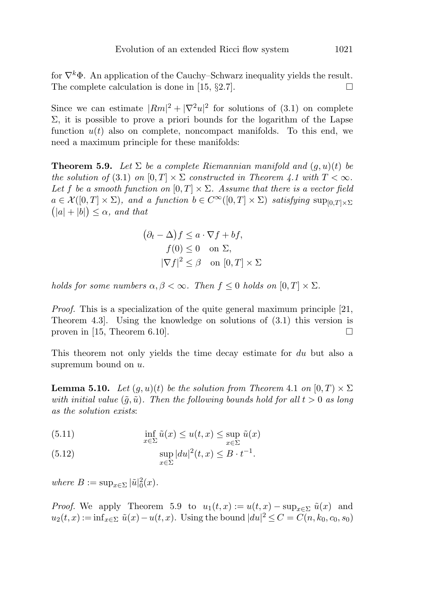for  $\nabla^k \Phi$ . An application of the Cauchy–Schwarz inequality yields the result. The complete calculation is done in [15,  $\S 2.7$ ].

Since we can estimate  $|Rm|^2 + |\nabla^2 u|^2$  for solutions of (3.1) on complete  $\Sigma$ , it is possible to prove a priori bounds for the logarithm of the Lapse function  $u(t)$  also on complete, noncompact manifolds. To this end, we need a maximum principle for these manifolds:

**Theorem 5.9.** Let  $\Sigma$  be a complete Riemannian manifold and  $(q, u)(t)$  be the solution of (3.1) on  $[0, T] \times \Sigma$  constructed in Theorem 4.1 with  $T < \infty$ . Let f be a smooth function on  $[0, T] \times \Sigma$ . Assume that there is a vector field  $a \in \mathcal{X}([0,T] \times \Sigma)$ , and a function  $b \in C^{\infty}([0,T] \times \Sigma)$  satisfying  $\sup_{[0,T] \times \Sigma}$  $(|a|+|b|) \leq \alpha$ , and that

$$
(\partial_t - \Delta)f \le a \cdot \nabla f + bf,
$$
  
\n
$$
f(0) \le 0 \quad \text{on } \Sigma,
$$
  
\n
$$
|\nabla f|^2 \le \beta \quad \text{on } [0, T] \times \Sigma
$$

holds for some numbers  $\alpha, \beta < \infty$ . Then  $f \leq 0$  holds on  $[0, T] \times \Sigma$ .

Proof. This is a specialization of the quite general maximum principle [21, Theorem 4.3]. Using the knowledge on solutions of (3.1) this version is proven in [15, Theorem 6.10].  $\square$ 

This theorem not only yields the time decay estimate for du but also a supremum bound on  $u$ .

**Lemma 5.10.** Let  $(g, u)(t)$  be the solution from Theorem 4.1 on  $[0, T] \times \Sigma$ with initial value  $(\tilde{g}, \tilde{u})$ . Then the following bounds hold for all  $t > 0$  as long as the solution exists:

 $\inf_{x \in \Sigma} \tilde{u}(x) \leq u(t,x) \leq \sup_{x \in \Sigma}$  $x \in \Sigma$ (5.11)  $\inf \tilde{u}(x) \leq u(t,x) \leq \sup \tilde{u}(x)$ 

(5.12) 
$$
\sup_{x\in\Sigma} |du|^2(t,x) \leq B \cdot t^{-1}.
$$

where  $B := \sup_{x \in \Sigma} |\tilde{u}|_0^2(x)$ .

*Proof.* We apply Theorem 5.9 to  $u_1(t,x) := u(t,x) - \sup_{x \in \Sigma} \tilde{u}(x)$  and  $u_2(t,x) := \inf_{x \in \Sigma} \tilde{u}(x) - u(t,x)$ . Using the bound  $|du|^2 \leq C = C(n, k_0, c_0, s_0)$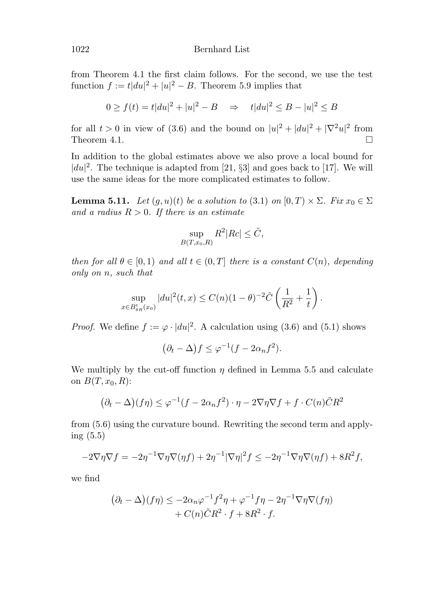from Theorem 4.1 the first claim follows. For the second, we use the test function  $f := t |du|^2 + |u|^2 - B$ . Theorem 5.9 implies that

$$
0 \ge f(t) = t|du|^2 + |u|^2 - B \implies t|du|^2 \le B - |u|^2 \le B
$$

for all  $t > 0$  in view of (3.6) and the bound on  $|u|^2 + |du|^2 + |\nabla^2 u|^2$  from Theorem 4.1.  $\Box$ 

In addition to the global estimates above we also prove a local bound for  $|du|^2$ . The technique is adapted from [21, §3] and goes back to [17]. We will use the same ideas for the more complicated estimates to follow.

**Lemma 5.11.** Let  $(g, u)(t)$  be a solution to (3.1) on  $[0, T] \times \Sigma$ . Fix  $x_0 \in \Sigma$ and a radius  $R > 0$ . If there is an estimate

$$
\sup_{B(T,x_0,R)} R^2 |Rc| \leq \tilde{C},
$$

then for all  $\theta \in [0, 1)$  and all  $t \in (0, T]$  there is a constant  $C(n)$ , depending only on n, such that

$$
\sup_{x \in B_{\theta R}^t(x_0)} |du|^2(t,x) \le C(n)(1-\theta)^{-2} \tilde{C} \left( \frac{1}{R^2} + \frac{1}{t} \right).
$$

*Proof.* We define  $f := \varphi \cdot |du|^2$ . A calculation using (3.6) and (5.1) shows

$$
(\partial_t - \Delta) f \le \varphi^{-1} (f - 2\alpha_n f^2).
$$

We multiply by the cut-off function  $\eta$  defined in Lemma 5.5 and calculate on  $B(T,x_0,R)$ :

$$
(\partial_t - \Delta)(f\eta) \le \varphi^{-1}(f - 2\alpha_n f^2) \cdot \eta - 2\nabla \eta \nabla f + f \cdot C(n)\tilde{C}R^2
$$

from (5.6) using the curvature bound. Rewriting the second term and applying (5.5)

$$
-2\nabla\eta\nabla f = -2\eta^{-1}\nabla\eta\nabla(\eta f) + 2\eta^{-1}|\nabla\eta|^2 f \le -2\eta^{-1}\nabla\eta\nabla(\eta f) + 8R^2f,
$$

we find

$$
(\partial_t - \Delta)(f\eta) \le -2\alpha_n \varphi^{-1} f^2 \eta + \varphi^{-1} f\eta - 2\eta^{-1} \nabla \eta \nabla(f\eta)
$$
  
+  $C(n)\tilde{C}R^2 \cdot f + 8R^2 \cdot f$ .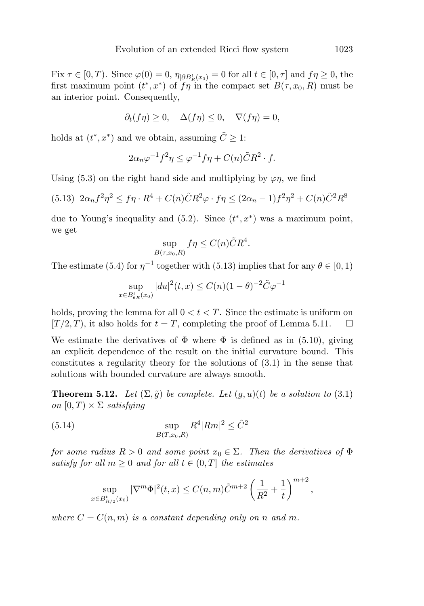Fix  $\tau \in [0, T)$ . Since  $\varphi(0) = 0$ ,  $\eta_{|\partial B_R^t(x_0)} = 0$  for all  $t \in [0, \tau]$  and  $f \eta \ge 0$ , the first maximum point  $(t^*, x^*)$  of  $f\eta$  in the compact set  $B(\tau, x_0, R)$  must be an interior point. Consequently,

$$
\partial_t(f\eta) \ge 0, \quad \Delta(f\eta) \le 0, \quad \nabla(f\eta) = 0,
$$

holds at  $(t^*, x^*)$  and we obtain, assuming  $\tilde{C} \geq 1$ :

$$
2\alpha_n \varphi^{-1} f^2 \eta \le \varphi^{-1} f \eta + C(n) \tilde{C} R^2 \cdot f.
$$

Using (5.3) on the right hand side and multiplying by  $\varphi \eta$ , we find

(5.13) 
$$
2\alpha_n f^2 \eta^2 \leq f \eta \cdot R^4 + C(n) \tilde{C} R^2 \varphi \cdot f \eta \leq (2\alpha_n - 1) f^2 \eta^2 + C(n) \tilde{C}^2 R^8
$$

due to Young's inequality and  $(5.2)$ . Since  $(t^*, x^*)$  was a maximum point, we get

$$
\sup_{B(\tau,x_0,R)} f\eta \le C(n)\tilde{C}R^4.
$$

The estimate (5.4) for  $\eta^{-1}$  together with (5.13) implies that for any  $\theta \in [0, 1)$ 

$$
\sup_{x \in B_{\theta_R}^t(x_0)} |du|^2(t, x) \le C(n)(1 - \theta)^{-2} \tilde{C} \varphi^{-1}
$$

holds, proving the lemma for all  $0 < t < T$ . Since the estimate is uniform on  $[T/2, T]$ , it also holds for  $t = T$ , completing the proof of Lemma 5.11.  $\Box$ 

We estimate the derivatives of  $\Phi$  where  $\Phi$  is defined as in (5.10), giving an explicit dependence of the result on the initial curvature bound. This constitutes a regularity theory for the solutions of (3.1) in the sense that solutions with bounded curvature are always smooth.

**Theorem 5.12.** Let  $(\Sigma, \tilde{g})$  be complete. Let  $(g, u)(t)$  be a solution to (3.1) on  $[0, T] \times \Sigma$  satisfying

(5.14) 
$$
\sup_{B(T,x_0,R)} R^4 |Rm|^2 \leq \tilde{C}^2
$$

for some radius  $R > 0$  and some point  $x_0 \in \Sigma$ . Then the derivatives of  $\Phi$ satisfy for all  $m \geq 0$  and for all  $t \in (0, T]$  the estimates

$$
\sup_{x \in B_{R/2}^t(x_0)} |\nabla^m \Phi|^2(t, x) \le C(n, m) \tilde{C}^{m+2} \left( \frac{1}{R^2} + \frac{1}{t} \right)^{m+2},
$$

where  $C = C(n, m)$  is a constant depending only on n and m.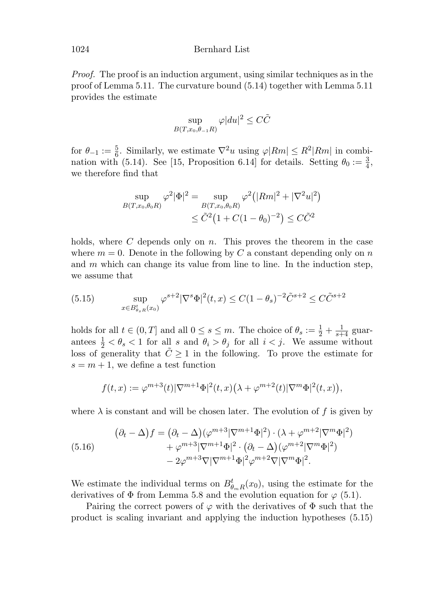Proof. The proof is an induction argument, using similar techniques as in the proof of Lemma 5.11. The curvature bound (5.14) together with Lemma 5.11 provides the estimate

$$
\sup_{B(T,x_0,\theta_{-1}R)} \varphi |du|^2 \leq C\tilde{C}
$$

for  $\theta_{-1} := \frac{5}{6}$ . Similarly, we estimate  $\nabla^2 u$  using  $\varphi |Rm| \leq R^2 |Rm|$  in combination with (5.14). See [15, Proposition 6.14] for details. Setting  $\theta_0 := \frac{3}{4}$ , we therefore find that

$$
\sup_{B(T,x_0,\theta_0 R)} \varphi^2 |\Phi|^2 = \sup_{B(T,x_0,\theta_0 R)} \varphi^2 (|Rm|^2 + |\nabla^2 u|^2)
$$
  

$$
\leq \tilde{C}^2 (1 + C(1 - \theta_0)^{-2}) \leq C \tilde{C}^2
$$

holds, where  $C$  depends only on  $n$ . This proves the theorem in the case where  $m = 0$ . Denote in the following by C a constant depending only on n and  $m$  which can change its value from line to line. In the induction step, we assume that

(5.15) 
$$
\sup_{x \in B_{\theta_s R}^t(x_0)} \varphi^{s+2} |\nabla^s \Phi|^2(t, x) \le C(1 - \theta_s)^{-2} \tilde{C}^{s+2} \le C \tilde{C}^{s+2}
$$

holds for all  $t \in (0, T]$  and all  $0 \le s \le m$ . The choice of  $\theta_s := \frac{1}{2} + \frac{1}{s+4}$  guarantees  $\frac{1}{2} < \theta_s < 1$  for all s and  $\theta_i > \theta_j$  for all  $i < j$ . We assume without loss of generality that  $\tilde{C} \geq 1$  in the following. To prove the estimate for  $s = m + 1$ , we define a test function

$$
f(t,x) := \varphi^{m+3}(t) |\nabla^{m+1}\Phi|^2(t,x) (\lambda + \varphi^{m+2}(t) |\nabla^m \Phi|^2(t,x)),
$$

where  $\lambda$  is constant and will be chosen later. The evolution of f is given by

(5.16) 
$$
(\partial_t - \Delta) f = (\partial_t - \Delta)(\varphi^{m+3}|\nabla^{m+1}\Phi|^2) \cdot (\lambda + \varphi^{m+2}|\nabla^m\Phi|^2) + \varphi^{m+3}|\nabla^{m+1}\Phi|^2 \cdot (\partial_t - \Delta)(\varphi^{m+2}|\nabla^m\Phi|^2) - 2\varphi^{m+3}\nabla|\nabla^{m+1}\Phi|^2\varphi^{m+2}\nabla|\nabla^m\Phi|^2.
$$

We estimate the individual terms on  $B_{\theta_mR}^t(x_0)$ , using the estimate for the derivatives of  $\Phi$  from Lemma 5.8 and the evolution equation for  $\varphi$  (5.1).

Pairing the correct powers of  $\varphi$  with the derivatives of  $\Phi$  such that the product is scaling invariant and applying the induction hypotheses (5.15)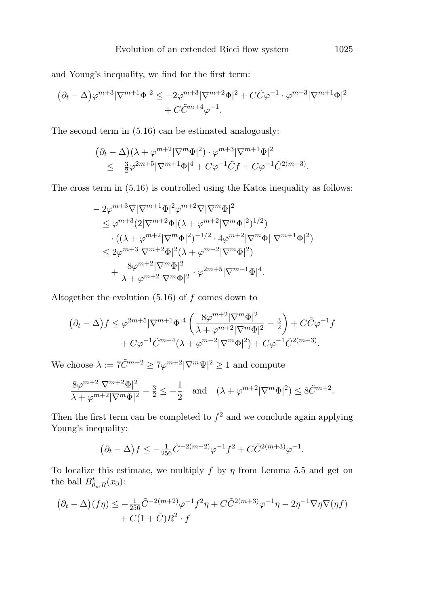and Young's inequality, we find for the first term:

$$
(\partial_t - \Delta)\varphi^{m+3}|\nabla^{m+1}\Phi|^2 \le -2\varphi^{m+3}|\nabla^{m+2}\Phi|^2 + C\tilde{C}\varphi^{-1} \cdot \varphi^{m+3}|\nabla^{m+1}\Phi|^2
$$
  
+  $C\tilde{C}^{m+4}\varphi^{-1}$ .

The second term in (5.16) can be estimated analogously:

$$
(\partial_t - \Delta)(\lambda + \varphi^{m+2}|\nabla^m \Phi|^2) \cdot \varphi^{m+3}|\nabla^{m+1} \Phi|^2
$$
  

$$
\leq -\frac{3}{2}\varphi^{2m+5}|\nabla^{m+1} \Phi|^4 + C\varphi^{-1}\tilde{C}f + C\varphi^{-1}\tilde{C}^{2(m+3)}.
$$

The cross term in (5.16) is controlled using the Katos inequality as follows:

$$
- 2\varphi^{m+3}\nabla|\nabla^{m+1}\Phi|^2\varphi^{m+2}\nabla|\nabla^m\Phi|^2
$$
  
\n
$$
\leq \varphi^{m+3}(2|\nabla^{m+2}\Phi|(\lambda + \varphi^{m+2}|\nabla^m\Phi|^2)^{1/2})
$$
  
\n
$$
\cdot((\lambda + \varphi^{m+2}|\nabla^m\Phi|^2)^{-1/2} \cdot 4\varphi^{m+2}|\nabla^m\Phi||\nabla^{m+1}\Phi|^2)
$$
  
\n
$$
\leq 2\varphi^{m+3}|\nabla^{m+2}\Phi|^2(\lambda + \varphi^{m+2}|\nabla^m\Phi|^2)
$$
  
\n
$$
+ \frac{8\varphi^{m+2}|\nabla^m\Phi|^2}{\lambda + \varphi^{m+2}|\nabla^m\Phi|^2} \cdot \varphi^{2m+5}|\nabla^{m+1}\Phi|^4.
$$

Altogether the evolution  $(5.16)$  of f comes down to

$$
(\partial_t - \Delta) f \le \varphi^{2m+5} |\nabla^{m+1} \Phi|^4 \left( \frac{8\varphi^{m+2} |\nabla^m \Phi|^2}{\lambda + \varphi^{m+2} |\nabla^m \Phi|^2} - \frac{3}{2} \right) + C\tilde{C}\varphi^{-1} f
$$
  
+  $C\varphi^{-1} \tilde{C}^{m+4} (\lambda + \varphi^{m+2} |\nabla^m \Phi|^2) + C\varphi^{-1} \tilde{C}^{2(m+3)}.$ 

We choose  $\lambda := 7\tilde{C}^{m+2} \ge 7\varphi^{m+2} |\nabla^m \Psi|^2 \ge 1$  and compute

$$
\frac{8\varphi^{m+2}|\nabla^{m+2}\Phi|^2}{\lambda+\varphi^{m+2}|\nabla^m\Phi|^2}-\frac{3}{2}\leq-\frac{1}{2}\quad\text{and}\quad(\lambda+\varphi^{m+2}|\nabla^m\Phi|^2)\leq 8\tilde{C}^{m+2}.
$$

Then the first term can be completed to  $f^2$  and we conclude again applying Young's inequality:

$$
(\partial_t - \Delta) f \le -\frac{1}{256} \tilde{C}^{-2(m+2)} \varphi^{-1} f^2 + C \tilde{C}^{2(m+3)} \varphi^{-1}.
$$

To localize this estimate, we multiply f by  $\eta$  from Lemma 5.5 and get on the ball  $B_{\theta_m R}^t(x_0)$ :

$$
(\partial_t - \Delta)(f\eta) \le -\frac{1}{256}\tilde{C}^{-2(m+2)}\varphi^{-1}f^2\eta + C\tilde{C}^{2(m+3)}\varphi^{-1}\eta - 2\eta^{-1}\nabla\eta\nabla(\eta f) + C(1+\tilde{C})R^2 \cdot f
$$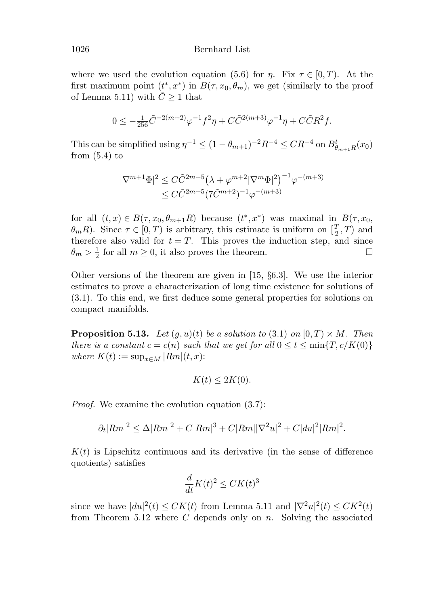where we used the evolution equation (5.6) for  $\eta$ . Fix  $\tau \in [0, T)$ . At the first maximum point  $(t^*, x^*)$  in  $B(\tau, x_0, \theta_m)$ , we get (similarly to the proof of Lemma 5.11) with  $\tilde{C} \geq 1$  that

$$
0\leq -\tfrac{1}{256}\tilde{C}^{-2(m+2)}\varphi^{-1}f^2\eta+C\tilde{C}^{2(m+3)}\varphi^{-1}\eta+C\tilde{C}R^2f.
$$

This can be simplified using  $\eta^{-1} \le (1 - \theta_{m+1})^{-2} R^{-4} \le CR^{-4}$  on  $B_{\theta_{m+1}R}^t(x_0)$ from  $(5.4)$  to

$$
|\nabla^{m+1}\Phi|^2 \leq C\tilde{C}^{2m+5}(\lambda + \varphi^{m+2}|\nabla^m\Phi|^2)^{-1}\varphi^{-(m+3)} \leq C\tilde{C}^{2m+5}(7\tilde{C}^{m+2})^{-1}\varphi^{-(m+3)}
$$

for all  $(t, x) \in B(\tau, x_0, \theta_{m+1}R)$  because  $(t^*, x^*)$  was maximal in  $B(\tau, x_0,$  $\theta_m R$ ). Since  $\tau \in [0, T)$  is arbitrary, this estimate is uniform on  $[\frac{T}{2}, T)$  and therefore also valid for  $t = T$ . This proves the induction step, and since  $\theta_m > \frac{1}{2}$  for all  $m \ge 0$ , it also proves the theorem.

Other versions of the theorem are given in [15, §6.3]. We use the interior estimates to prove a characterization of long time existence for solutions of (3.1). To this end, we first deduce some general properties for solutions on compact manifolds.

**Proposition 5.13.** Let  $(q, u)(t)$  be a solution to (3.1) on  $[0, T) \times M$ . Then there is a constant  $c = c(n)$  such that we get for all  $0 \le t \le \min\{T, c/K(0)\}$ where  $K(t) := \sup_{x \in M} |Rm|(t, x)$ :

$$
K(t) \le 2K(0).
$$

Proof. We examine the evolution equation (3.7):

$$
\partial_t |Rm|^2 \le \Delta |Rm|^2 + C|Rm|^3 + C|Rm||\nabla^2 u|^2 + C|du|^2|Rm|^2.
$$

 $K(t)$  is Lipschitz continuous and its derivative (in the sense of difference quotients) satisfies

$$
\frac{d}{dt}K(t)^2 \le CK(t)^3
$$

since we have  $|du|^2(t) \leq CK(t)$  from Lemma 5.11 and  $|\nabla^2 u|^2(t) \leq CK^2(t)$ from Theorem 5.12 where  $C$  depends only on  $n$ . Solving the associated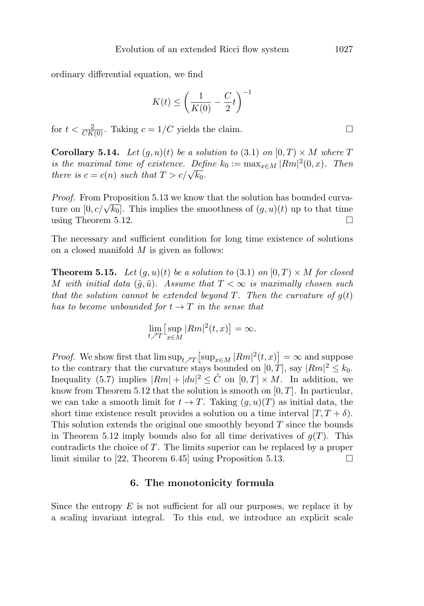ordinary differential equation, we find

$$
K(t) \le \left(\frac{1}{K(0)} - \frac{C}{2}t\right)^{-1}
$$

for  $t < \frac{2}{CK(0)}$ . Taking  $c = 1/C$  yields the claim.

**Corollary 5.14.** Let  $(g, u)(t)$  be a solution to (3.1) on  $[0, T] \times M$  where T is the maximal time of existence. Define  $k_0 := \max_{x \in M} |Rm|^2(0, x)$ . Then there is  $c = c(n)$  such that  $T > c/\sqrt{k_0}$ .

Proof. From Proposition 5.13 we know that the solution has bounded curvature on  $[0, c/\sqrt{k_0}]$ . This implies the smoothness of  $(g, u)(t)$  up to that time using Theorem 5.12.  $\Box$ 

The necessary and sufficient condition for long time existence of solutions on a closed manifold  $M$  is given as follows:

**Theorem 5.15.** Let  $(q, u)(t)$  be a solution to  $(3.1)$  on  $[0, T) \times M$  for closed M with initial data  $(\tilde{q}, \tilde{u})$ . Assume that  $T < \infty$  is maximally chosen such that the solution cannot be extended beyond  $T$ . Then the curvature of  $g(t)$ has to become unbounded for  $t \to T$  in the sense that

$$
\lim_{t \nearrow T} \left[ \sup_{x \in M} |Rm|^2(t, x) \right] = \infty.
$$

*Proof.* We show first that  $\limsup_{t \to T} \left[ \sup_{x \in M} |Rm|^2(t,x) \right] = \infty$  and suppose to the contrary that the curvature stays bounded on  $[0, T]$ , say  $|Rm|^2 \leq k_0$ . Inequality (5.7) implies  $|Rm| + |du|^2 \leq \tilde{C}$  on  $[0, T] \times M$ . In addition, we know from Theorem 5.12 that the solution is smooth on  $[0, T]$ . In particular, we can take a smooth limit for  $t \to T$ . Taking  $(g, u)(T)$  as initial data, the short time existence result provides a solution on a time interval  $[T, T + \delta)$ . This solution extends the original one smoothly beyond  $T$  since the bounds in Theorem 5.12 imply bounds also for all time derivatives of  $q(T)$ . This contradicts the choice of T. The limits superior can be replaced by a proper limit similar to [22, Theorem 6.45] using Proposition 5.13.  $\Box$ 

#### **6. The monotonicity formula**

Since the entropy  $E$  is not sufficient for all our purposes, we replace it by a scaling invariant integral. To this end, we introduce an explicit scale

 $\Box$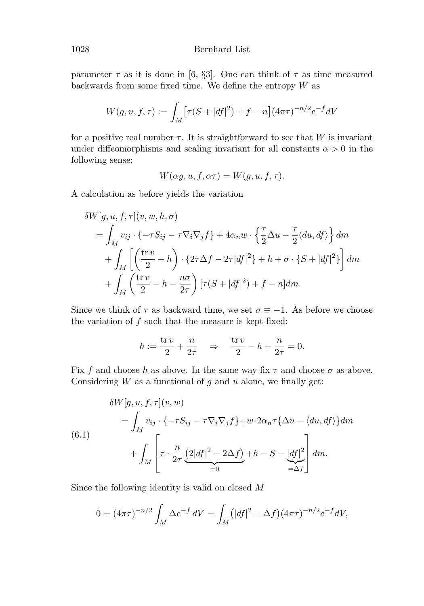parameter  $\tau$  as it is done in [6, §3]. One can think of  $\tau$  as time measured backwards from some fixed time. We define the entropy  $W$  as

$$
W(g, u, f, \tau) := \int_M \left[ \tau (S + |df|^2) + f - n \right] (4\pi\tau)^{-n/2} e^{-f} dV
$$

for a positive real number  $\tau$ . It is straightforward to see that W is invariant under diffeomorphisms and scaling invariant for all constants  $\alpha > 0$  in the following sense:

$$
W(\alpha g, u, f, \alpha \tau) = W(g, u, f, \tau).
$$

A calculation as before yields the variation

$$
\delta W[g, u, f, \tau](v, w, h, \sigma)
$$
  
=  $\int_M v_{ij} \cdot \{-\tau S_{ij} - \tau \nabla_i \nabla_j f\} + 4\alpha_n w \cdot \left\{\frac{\tau}{2} \Delta u - \frac{\tau}{2} \langle du, df \rangle\right\} dm$   
+  $\int_M \left[ \left(\frac{\text{tr } v}{2} - h\right) \cdot \left\{2\tau \Delta f - 2\tau |df|^2\right\} + h + \sigma \cdot \left\{S + |df|^2\right\} \right] dm$   
+  $\int_M \left(\frac{\text{tr } v}{2} - h - \frac{n\sigma}{2\tau}\right) [\tau (S + |df|^2) + f - n] dm.$ 

Since we think of  $\tau$  as backward time, we set  $\sigma \equiv -1$ . As before we choose the variation of  $f$  such that the measure is kept fixed:

$$
h:=\frac{\operatorname{tr} v}{2}+\frac{n}{2\tau}\quad\Rightarrow\quad \frac{\operatorname{tr} v}{2}-h+\frac{n}{2\tau}=0.
$$

Fix f and choose h as above. In the same way fix  $\tau$  and choose  $\sigma$  as above. Considering  $W$  as a functional of  $g$  and  $u$  alone, we finally get:

$$
\delta W[g, u, f, \tau](v, w)
$$
  
=  $\int_M v_{ij} \cdot \{-\tau S_{ij} - \tau \nabla_i \nabla_j f\} + w \cdot 2\alpha_n \tau \{\Delta u - \langle du, df \rangle\} dm$   

$$
+ \int_M \left[ \tau \cdot \frac{n}{2\tau} \underbrace{(2|df|^2 - 2\Delta f)}_{=0} + h - S - \underbrace{|df|^2}_{= \Delta f} \right] dm.
$$

Since the following identity is valid on closed M

$$
0 = (4\pi\tau)^{-n/2} \int_M \Delta e^{-f} dV = \int_M (|df|^2 - \Delta f)(4\pi\tau)^{-n/2} e^{-f} dV,
$$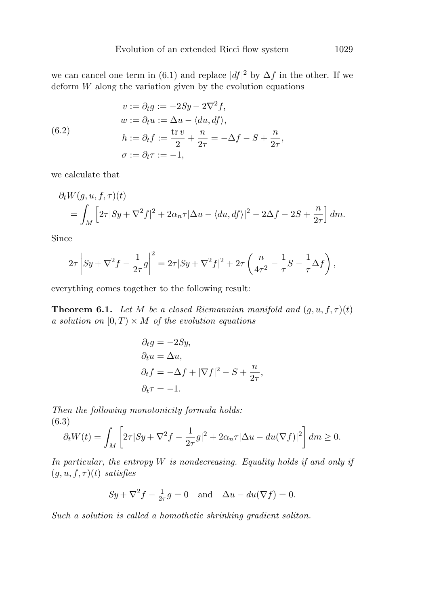we can cancel one term in (6.1) and replace  $|df|^2$  by  $\Delta f$  in the other. If we deform  $W$  along the variation given by the evolution equations

(6.2)  
\n
$$
v := \partial_t g := -2Sy - 2\nabla^2 f,
$$
\n
$$
w := \partial_t u := \Delta u - \langle du, df \rangle,
$$
\n
$$
h := \partial_t f := \frac{\text{tr } v}{2} + \frac{n}{2\tau} = -\Delta f - S + \frac{n}{2\tau},
$$
\n
$$
\sigma := \partial_t \tau := -1,
$$

we calculate that

$$
\partial_t W(g, u, f, \tau)(t)
$$
  
= 
$$
\int_M \left[2\tau|Sy + \nabla^2 f|^2 + 2\alpha_n \tau |\Delta u - \langle du, df \rangle|^2 - 2\Delta f - 2S + \frac{n}{2\tau}\right] dm.
$$

Since

$$
2\tau \left| Sy + \nabla^2 f - \frac{1}{2\tau} g \right|^2 = 2\tau |Sy + \nabla^2 f|^2 + 2\tau \left( \frac{n}{4\tau^2} - \frac{1}{\tau} S - \frac{1}{\tau} \Delta f \right),
$$

everything comes together to the following result:

**Theorem 6.1.** Let M be a closed Riemannian manifold and  $(g, u, f, \tau)(t)$ a solution on  $[0, T) \times M$  of the evolution equations

$$
\partial_t g = -2Sy,
$$
  
\n
$$
\partial_t u = \Delta u,
$$
  
\n
$$
\partial_t f = -\Delta f + |\nabla f|^2 - S + \frac{n}{2\tau},
$$
  
\n
$$
\partial_t \tau = -1.
$$

Then the following monotonicity formula holds: (6.3)

$$
\partial_t W(t) = \int_M \left[ 2\tau |Sy + \nabla^2 f - \frac{1}{2\tau} g|^2 + 2\alpha_n \tau |\Delta u - du(\nabla f)|^2 \right] dm \ge 0.
$$

In particular, the entropy  $W$  is nondecreasing. Equality holds if and only if  $(q, u, f, \tau)(t)$  satisfies

$$
Sy + \nabla^2 f - \frac{1}{2\tau}g = 0
$$
 and  $\Delta u - du(\nabla f) = 0.$ 

Such a solution is called a homothetic shrinking gradient soliton.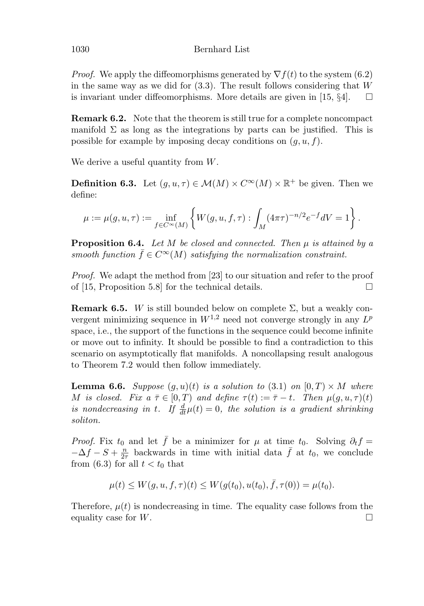*Proof.* We apply the diffeomorphisms generated by  $\nabla f(t)$  to the system (6.2) in the same way as we did for (3.3). The result follows considering that W is invariant under diffeomorphisms. More details are given in  $[15, \S4]$ .  $\Box$ 

**Remark 6.2.** Note that the theorem is still true for a complete noncompact manifold  $\Sigma$  as long as the integrations by parts can be justified. This is possible for example by imposing decay conditions on  $(q, u, f)$ .

We derive a useful quantity from W.

**Definition 6.3.** Let  $(q, u, \tau) \in \mathcal{M}(M) \times C^{\infty}(M) \times \mathbb{R}^+$  be given. Then we define:

$$
\mu:=\mu(g,u,\tau):=\inf_{f\in C^\infty(M)}\left\{W(g,u,f,\tau):\int_M(4\pi\tau)^{-n/2}e^{-f}dV=1\right\}.
$$

**Proposition 6.4.** Let M be closed and connected. Then  $\mu$  is attained by a smooth function  $\bar{f} \in C^{\infty}(M)$  satisfying the normalization constraint.

*Proof.* We adapt the method from [23] to our situation and refer to the proof of [15, Proposition 5.8] for the technical details.  $\Box$ 

**Remark 6.5.** W is still bounded below on complete  $\Sigma$ , but a weakly convergent minimizing sequence in  $W^{1,2}$  need not converge strongly in any  $L^p$ space, i.e., the support of the functions in the sequence could become infinite or move out to infinity. It should be possible to find a contradiction to this scenario on asymptotically flat manifolds. A noncollapsing result analogous to Theorem 7.2 would then follow immediately.

**Lemma 6.6.** Suppose  $(q, u)(t)$  is a solution to (3.1) on  $[0, T] \times M$  where M is closed. Fix  $a \bar{\tau} \in [0, T)$  and define  $\tau(t) := \bar{\tau} - t$ . Then  $\mu(q, u, \tau)(t)$ is nondecreasing in t. If  $\frac{d}{dt}\mu(t)=0$ , the solution is a gradient shrinking soliton.

*Proof.* Fix  $t_0$  and let  $\bar{f}$  be a minimizer for  $\mu$  at time  $t_0$ . Solving  $\partial_t f =$  $-\Delta f - S + \frac{n}{2\tau}$  backwards in time with initial data  $\bar{f}$  at  $t_0$ , we conclude from (6.3) for all  $t < t_0$  that

$$
\mu(t) \le W(g, u, f, \tau)(t) \le W(g(t_0), u(t_0), \bar{f}, \tau(0)) = \mu(t_0).
$$

Therefore,  $\mu(t)$  is nondecreasing in time. The equality case follows from the equality case for  $W$ .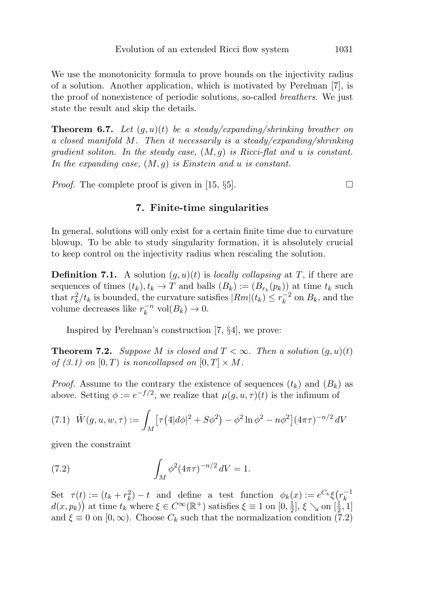We use the monotonicity formula to prove bounds on the injectivity radius of a solution. Another application, which is motivated by Perelman [7], is the proof of nonexistence of periodic solutions, so-called breathers. We just state the result and skip the details.

**Theorem 6.7.** Let  $(g, u)(t)$  be a steady/expanding/shrinking breather on a closed manifold M. Then it necessarily is a steady/expanding/shrinking gradient soliton. In the steady case,  $(M, g)$  is Ricci-flat and u is constant. In the expanding case,  $(M, g)$  is Einstein and u is constant.

*Proof.* The complete proof is given in [15,  $\S5$ ].

# **7. Finite-time singularities**

In general, solutions will only exist for a certain finite time due to curvature blowup. To be able to study singularity formation, it is absolutely crucial to keep control on the injectivity radius when rescaling the solution.

**Definition 7.1.** A solution  $(g, u)(t)$  is *locally collapsing* at T, if there are sequences of times  $(t_k), t_k \to T$  and balls  $(B_k) := (B_{r_k}(p_k))$  at time  $t_k$  such that  $r_k^2/t_k$  is bounded, the curvature satisfies  $|Rm|(t_k) \leq r_k^{-2}$  on  $B_k$ , and the volume decreases like  $r_k^{-n}$  vol $(B_k) \to 0$ .

Inspired by Perelman's construction [7, §4], we prove:

**Theorem 7.2.** Suppose M is closed and  $T < \infty$ . Then a solution  $(g, u)(t)$ of (3.1) on  $[0, T)$  is noncollapsed on  $[0, T] \times M$ .

*Proof.* Assume to the contrary the existence of sequences  $(t_k)$  and  $(B_k)$  as above. Setting  $\phi := e^{-f/2}$ , we realize that  $\mu(g, u, \tau)(t)$  is the infimum of

$$
(7.1) \ \ \tilde{W}(g, u, w, \tau) := \int_M \left[ \tau \left( 4|d\phi|^2 + S\phi^2 \right) - \phi^2 \ln \phi^2 - n\phi^2 \right] (4\pi\tau)^{-n/2} \, dV
$$

given the constraint

(7.2) 
$$
\int_M \phi^2 (4\pi\tau)^{-n/2} dV = 1.
$$

Set  $\tau(t) := (t_k + r_k^2) - t$  and define a test function  $\phi_k(x) := e^{C_k} \xi(r_k^{-1})$  $d(x, p_k)$  at time  $t_k$  where  $\xi \in C^{\infty}(\mathbb{R}^+)$  satisfies  $\xi \equiv 1$  on  $[0, \frac{1}{2}], \xi \searrow$  on  $[\frac{1}{2}, 1]$ and  $\xi \equiv 0$  on  $[0,\infty)$ . Choose  $C_k$  such that the normalization condition (7.2)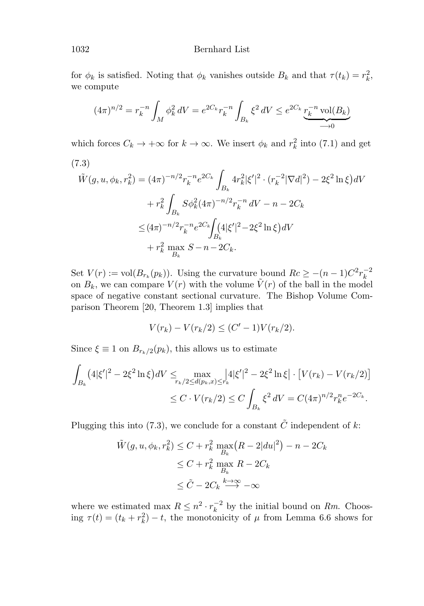## 1032 Bernhard List

for  $\phi_k$  is satisfied. Noting that  $\phi_k$  vanishes outside  $B_k$  and that  $\tau(t_k) = r_k^2$ , we compute

$$
(4\pi)^{n/2} = r_k^{-n} \int_M \phi_k^2 dV = e^{2C_k} r_k^{-n} \int_{B_k} \xi^2 dV \le e^{2C_k} \underbrace{r_k^{-n} \operatorname{vol}(B_k)}_{\longrightarrow 0}
$$

which forces  $C_k \to +\infty$  for  $k \to \infty$ . We insert  $\phi_k$  and  $r_k^2$  into (7.1) and get

$$
(7.3)
$$
  
\n
$$
\tilde{W}(g, u, \phi_k, r_k^2) = (4\pi)^{-n/2} r_k^{-n} e^{2C_k} \int_{B_k} 4r_k^2 |\xi'|^2 \cdot (r_k^{-2} |\nabla d|^2) - 2\xi^2 \ln \xi \, dV
$$
\n
$$
+ r_k^2 \int_{B_k} S\phi_k^2 (4\pi)^{-n/2} r_k^{-n} \, dV - n - 2C_k
$$
\n
$$
\leq (4\pi)^{-n/2} r_k^{-n} e^{2C_k} \int_{B_k} (4|\xi'|^2 - 2\xi^2 \ln \xi) \, dV
$$
\n
$$
+ r_k^2 \max_{B_k} S - n - 2C_k.
$$

Set  $V(r) := \text{vol}(B_{r_k}(p_k))$ . Using the curvature bound  $Rc \ge -(n-1)C^2r_k^{-2}$ on  $B_k$ , we can compare  $V(r)$  with the volume  $\tilde{V}(r)$  of the ball in the model space of negative constant sectional curvature. The Bishop Volume Comparison Theorem [20, Theorem 1.3] implies that

$$
V(r_k) - V(r_k/2) \le (C' - 1)V(r_k/2).
$$

Since  $\xi \equiv 1$  on  $B_{r_k/2}(p_k)$ , this allows us to estimate

$$
\int_{B_k} (4|\xi'|^2 - 2\xi^2 \ln \xi) dV \le \max_{r_k/2 \le d(p_k, x) \le r_k} |4|\xi'|^2 - 2\xi^2 \ln \xi \cdot [V(r_k) - V(r_k/2)]
$$
  

$$
\le C \cdot V(r_k/2) \le C \int_{B_k} \xi^2 dV = C (4\pi)^{n/2} r_k^n e^{-2C_k}.
$$

Plugging this into (7.3), we conclude for a constant  $\tilde{C}$  independent of k:

$$
\tilde{W}(g, u, \phi_k, r_k^2) \le C + r_k^2 \max_{B_k} (R - 2|du|^2) - n - 2C_k
$$
  
\n
$$
\le C + r_k^2 \max_{B_k} R - 2C_k
$$
  
\n
$$
\le \tilde{C} - 2C_k \stackrel{k \to \infty}{\longrightarrow} -\infty
$$

where we estimated max  $R \leq n^2 \cdot r_k^{-2}$  by the initial bound on Rm. Choosing  $\tau(t) = (t_k + r_k^2) - t$ , the monotonicity of  $\mu$  from Lemma 6.6 shows for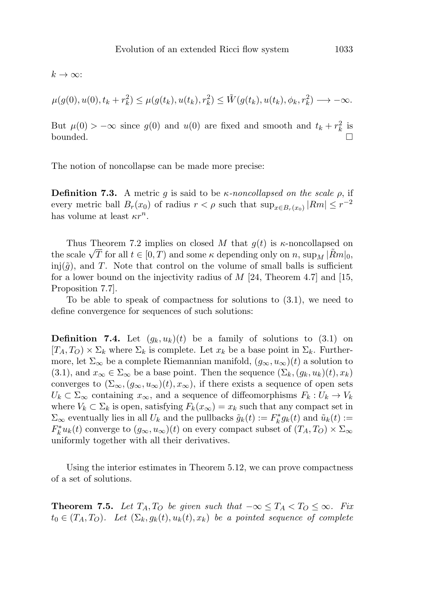$k \to \infty$ :

$$
\mu(g(0), u(0), t_k + r_k^2) \leq \mu(g(t_k), u(t_k), r_k^2) \leq \tilde{W}(g(t_k), u(t_k), \phi_k, r_k^2) \longrightarrow -\infty.
$$

But  $\mu(0) > -\infty$  since  $g(0)$  and  $u(0)$  are fixed and smooth and  $t_k + r_k^2$  is bounded.  $\square$ 

The notion of noncollapse can be made more precise:

**Definition 7.3.** A metric g is said to be  $\kappa$ -noncollapsed on the scale  $\rho$ , if every metric ball  $B_r(x_0)$  of radius  $r < \rho$  such that  $\sup_{x \in B_r(x_0)} |Rm| \leq r^{-2}$ has volume at least  $\kappa r^n$ .

Thus Theorem 7.2 implies on closed M that  $g(t)$  is  $\kappa$ -noncollapsed on Thus Theorem 7.2 implies on closed M that  $g(t)$  is  $\kappa$ -noncollapsed on<br>the scale  $\sqrt{T}$  for all  $t \in [0, T)$  and some  $\kappa$  depending only on n, sup<sub>M</sub>  $|\tilde{R}m|_0$ , inj $(\tilde{g})$ , and T. Note that control on the volume of small balls is sufficient for a lower bound on the injectivity radius of  $M$  [24, Theorem 4.7] and [15, Proposition 7.7].

To be able to speak of compactness for solutions to (3.1), we need to define convergence for sequences of such solutions:

**Definition 7.4.** Let  $(g_k, u_k)(t)$  be a family of solutions to  $(3.1)$  on  $[T_A, T_O] \times \Sigma_k$  where  $\Sigma_k$  is complete. Let  $x_k$  be a base point in  $\Sigma_k$ . Furthermore, let  $\Sigma_{\infty}$  be a complete Riemannian manifold,  $(g_{\infty}, u_{\infty})(t)$  a solution to (3.1), and  $x_{\infty} \in \Sigma_{\infty}$  be a base point. Then the sequence  $(\Sigma_k, (g_k, u_k)(t), x_k)$ converges to  $(\Sigma_{\infty}, (g_{\infty}, u_{\infty})(t), x_{\infty}),$  if there exists a sequence of open sets  $U_k \subset \Sigma_{\infty}$  containing  $x_{\infty}$ , and a sequence of diffeomorphisms  $F_k : U_k \to V_k$ where  $V_k \subset \Sigma_k$  is open, satisfying  $F_k(x_\infty) = x_k$  such that any compact set in  $\Sigma_{\infty}$  eventually lies in all  $U_k$  and the pullbacks  $\tilde{g}_k(t) := F_k^* g_k(t)$  and  $\tilde{u}_k(t) :=$  $F_k^*u_k(t)$  converge to  $(g_\infty,u_\infty)(t)$  on every compact subset of  $(T_A,T_O)\times \Sigma_\infty$ uniformly together with all their derivatives.

Using the interior estimates in Theorem 5.12, we can prove compactness of a set of solutions.

**Theorem 7.5.** Let  $T_A, T_O$  be given such that  $-\infty \le T_A < T_O \le \infty$ . Fix  $t_0 \in (T_A, T_O)$ . Let  $(\Sigma_k, g_k(t), u_k(t), x_k)$  be a pointed sequence of complete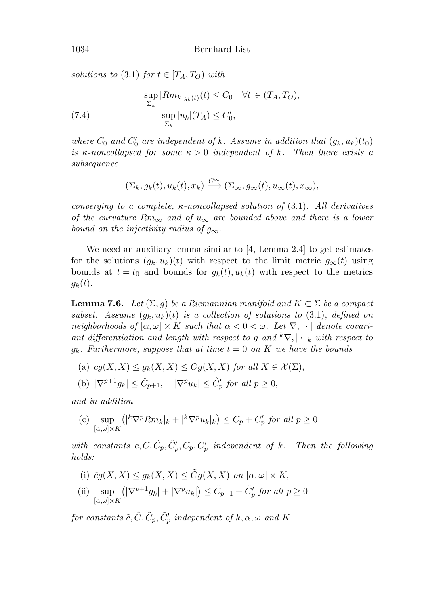solutions to (3.1) for  $t \in [T_A, T_O)$  with

(7.4) 
$$
\sup_{\Sigma_k} |Rm_k|_{g_k(t)}(t) \leq C_0 \quad \forall t \in (T_A, T_O),
$$

$$
\sup_{\Sigma_k} |u_k|(T_A) \leq C'_0,
$$

where  $C_0$  and  $C'_0$  are independent of k. Assume in addition that  $(g_k, u_k)(t_0)$ is κ-noncollapsed for some  $\kappa > 0$  independent of k. Then there exists a subsequence

$$
(\Sigma_k, g_k(t), u_k(t), x_k) \xrightarrow{C^{\infty}} (\Sigma_{\infty}, g_{\infty}(t), u_{\infty}(t), x_{\infty}),
$$

converging to a complete,  $\kappa$ -noncollapsed solution of (3.1). All derivatives of the curvature  $Rm_{\infty}$  and of  $u_{\infty}$  are bounded above and there is a lower bound on the injectivity radius of  $g_{\infty}$ .

We need an auxiliary lemma similar to [4, Lemma 2.4] to get estimates for the solutions  $(g_k, u_k)(t)$  with respect to the limit metric  $g_{\infty}(t)$  using bounds at  $t = t_0$  and bounds for  $g_k(t)$ ,  $u_k(t)$  with respect to the metrics  $g_k(t)$ .

**Lemma 7.6.** Let  $(\Sigma, g)$  be a Riemannian manifold and  $K \subset \Sigma$  be a compact subset. Assume  $(g_k, u_k)(t)$  is a collection of solutions to  $(3.1)$ , defined on neighborhoods of  $[\alpha, \omega] \times K$  such that  $\alpha < 0 < \omega$ . Let  $\nabla$ ,  $|\cdot|$  denote covariant differentiation and length with respect to g and  ${}^k\nabla, |\cdot|_k$  with respect to  $g_k$ . Furthermore, suppose that at time  $t = 0$  on K we have the bounds

- (a)  $cg(X, X) \leq g_k(X, X) \leq Cg(X, X)$  for all  $X \in \mathcal{X}(\Sigma)$ ,
- (b)  $|\nabla^{p+1}g_k| \leq \hat{C}_{p+1}, \quad |\nabla^p u_k| \leq \hat{C}'_p$  for all  $p \geq 0$ ,

and in addition

(c) sup  $[\alpha,\omega]\times K$  $(|^k \nabla^p R m_k|_k + |^k \nabla^p u_k|_k) \leq C_p + C'_p$  for all  $p \geq 0$ 

with constants  $c, C, \hat{C}_p, \hat{C}'_p, C_p, C'_p$  independent of k. Then the following holds:

- (i)  $\tilde{c}q(X,X) \leq q_k(X,X) \leq \tilde{C}q(X,X)$  on  $[\alpha,\omega] \times K$ ,
- (ii) sup  $[\alpha,\omega]\times K$  $(|\nabla^{p+1}g_k| + |\nabla^p u_k|) \leq \tilde{C}_{p+1} + \tilde{C}'_p$  for all  $p \geq 0$

for constants  $\tilde{c}, \tilde{C}, \tilde{C}_p, \tilde{C}'_p$  independent of  $k, \alpha, \omega$  and  $K$ .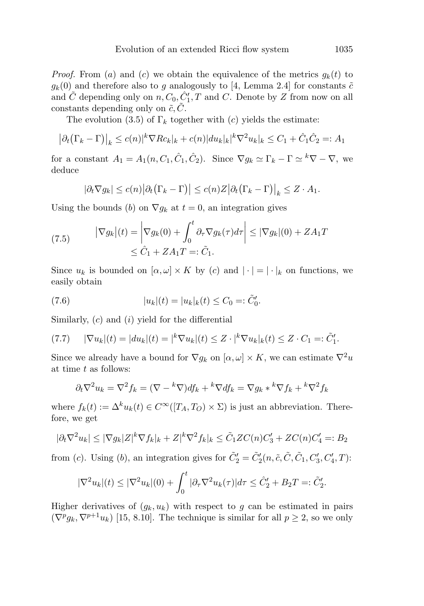*Proof.* From (a) and (c) we obtain the equivalence of the metrics  $g_k(t)$  to  $g_k(0)$  and therefore also to g analogously to [4, Lemma 2.4] for constants  $\tilde{c}$ and  $\tilde{C}$  depending only on  $n, C_0, \hat{C}'_1, T$  and  $C$ . Denote by  $Z$  from now on all constants depending only on  $\tilde{c}, \tilde{C}$ .

The evolution (3.5) of  $\Gamma_k$  together with (c) yields the estimate:

$$
|\partial_t (\Gamma_k - \Gamma)|_k \le c(n)|^k \nabla R c_k|_k + c(n)|du_k|_k|^k \nabla^2 u_k|_k \le C_1 + \hat{C}_1 \hat{C}_2 =: A_1
$$

for a constant  $A_1 = A_1(n, C_1, \hat{C}_1, \hat{C}_2)$ . Since  $\nabla g_k \simeq \Gamma_k - \Gamma \simeq {}^k \nabla - \nabla$ , we deduce

$$
|\partial_t \nabla g_k| \le c(n) |\partial_t (\Gamma_k - \Gamma)| \le c(n) Z |\partial_t (\Gamma_k - \Gamma)|_k \le Z \cdot A_1.
$$

Using the bounds (b) on  $\nabla g_k$  at  $t = 0$ , an integration gives

(7.5) 
$$
|\nabla g_k|(t) = \left|\nabla g_k(0) + \int_0^t \partial_\tau \nabla g_k(\tau) d\tau\right| \leq |\nabla g_k|(0) + Z A_1 T
$$

$$
\leq \hat{C}_1 + Z A_1 T =: \tilde{C}_1.
$$

Since  $u_k$  is bounded on  $[\alpha, \omega] \times K$  by (c) and  $|\cdot| = |\cdot|_k$  on functions, we easily obtain

(7.6) 
$$
|u_k|(t) = |u_k|_k(t) \le C_0 =: \tilde{C}'_0.
$$

Similarly,  $(c)$  and  $(i)$  yield for the differential

(7.7) 
$$
|\nabla u_k|(t) = |du_k|(t) = |^k \nabla u_k|(t) \leq Z \cdot |^k \nabla u_k|_k(t) \leq Z \cdot C_1 =: \tilde{C}'_1.
$$

Since we already have a bound for  $\nabla g_k$  on  $[\alpha, \omega] \times K$ , we can estimate  $\nabla^2 u$ at time t as follows:

$$
\partial_t \nabla^2 u_k = \nabla^2 f_k = (\nabla - {}^k \nabla) df_k + {}^k \nabla df_k = \nabla g_k * {}^k \nabla f_k + {}^k \nabla^2 f_k
$$

where  $f_k(t) := \Delta^k u_k(t) \in C^\infty([T_A, T_O) \times \Sigma)$  is just an abbreviation. Therefore, we get

$$
|\partial_t \nabla^2 u_k| \le |\nabla g_k| Z|^k \nabla f_k|_k + Z|^k \nabla^2 f_k|_k \le \tilde{C}_1 Z C(n) C'_3 + Z C(n) C'_4 =: B_2
$$

from (*c*). Using (*b*), an integration gives for  $\tilde{C}'_2 = \tilde{C}'_2(n, \tilde{c}, \tilde{C}_1, C'_3, C'_4, T)$ :

$$
|\nabla^2 u_k|(t) \le |\nabla^2 u_k|(0) + \int_0^t |\partial_\tau \nabla^2 u_k(\tau)| d\tau \le \hat{C}_2' + B_2 T =: \tilde{C}_2'.
$$

Higher derivatives of  $(g_k, u_k)$  with respect to g can be estimated in pairs  $(\nabla^p g_k, \nabla^{p+1} u_k)$  [15, 8.10]. The technique is similar for all  $p \geq 2$ , so we only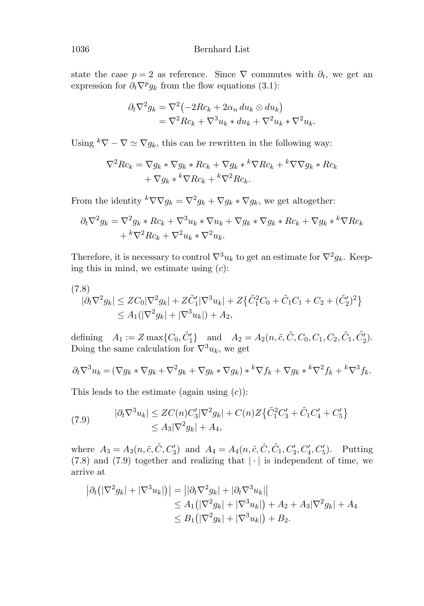state the case  $p = 2$  as reference. Since  $\nabla$  commutes with  $\partial_t$ , we get an expression for  $\partial_t \nabla^p g_k$  from the flow equations (3.1):

$$
\partial_t \nabla^2 g_k = \nabla^2 \left( -2Rc_k + 2\alpha_n \, du_k \otimes du_k \right)
$$
  
= 
$$
\nabla^2 Rc_k + \nabla^3 u_k * du_k + \nabla^2 u_k * \nabla^2 u_k.
$$

Using  ${}^k\nabla$  –  $\nabla \simeq \nabla g_k$ , this can be rewritten in the following way:

$$
\nabla^2 R c_k = \nabla g_k * \nabla g_k * R c_k + \nabla g_k *^k \nabla R c_k +^k \nabla \nabla g_k * R c_k + \nabla g_k *^k \nabla R c_k +^k \nabla^2 R c_k.
$$

From the identity  ${}^k\nabla \nabla g_k = \nabla^2 g_k + \nabla g_k * \nabla g_k$ , we get altogether:

$$
\partial_t \nabla^2 g_k = \nabla^2 g_k * R c_k + \nabla^3 u_k * \nabla u_k + \nabla g_k * \nabla g_k * R c_k + \nabla g_k * \nabla R c_k
$$
  
+ 
$$
k \nabla^2 R c_k + \nabla^2 u_k * \nabla^2 u_k.
$$

Therefore, it is necessary to control  $\nabla^3 u_k$  to get an estimate for  $\nabla^2 g_k$ . Keeping this in mind, we estimate using  $(c)$ :

$$
(7.8) |\partial_t \nabla^2 g_k| \le Z C_0 |\nabla^2 g_k| + Z \tilde{C}'_1 |\nabla^3 u_k| + Z \{ \tilde{C}_1^2 C_0 + \tilde{C}_1 C_1 + C_2 + (\tilde{C}'_2)^2 \} \le A_1 (|\nabla^2 g_k| + |\nabla^3 u_k|) + A_2,
$$

defining  $A_1 := Z \max\{C_0, \tilde{C}'_1\}$  and  $A_2 = A_2(n, \tilde{c}, C_0, C_1, C_2, \tilde{C}_1, \tilde{C}'_2)$ . Doing the same calculation for  $\nabla^3 u_k$ , we get

$$
\partial_t \nabla^3 u_k = (\nabla g_k \cdot \nabla g_k + \nabla^2 g_k + \nabla g_k \cdot \nabla g_k) \cdot \nabla f_k + \nabla g_k \cdot \nabla^2 f_k + \nabla^3 f_k.
$$

This leads to the estimate (again using  $(c)$ ):

(7.9) 
$$
|\partial_t \nabla^3 u_k| \leq ZC(n)C_3'|\nabla^2 g_k| + C(n)Z\{\tilde{C}_1^2 C_3' + \tilde{C}_1 C_4' + C_5'\}
$$

$$
\leq A_3|\nabla^2 g_k| + A_4,
$$

where  $A_3 = A_3(n, \tilde{c}, \tilde{C}, C'_3)$  and  $A_4 = A_4(n, \tilde{c}, \tilde{C}, \tilde{C}_1, C'_3, C'_4, C'_5)$ . Putting  $(7.8)$  and  $(7.9)$  together and realizing that  $|\cdot|$  is independent of time, we arrive at

$$
|\partial_t (|\nabla^2 g_k| + |\nabla^3 u_k|)| = ||\partial_t \nabla^2 g_k| + |\partial_t \nabla^3 u_k||
$$
  
\n
$$
\leq A_1 (|\nabla^2 g_k| + |\nabla^3 u_k|) + A_2 + A_3 |\nabla^2 g_k| + A_4
$$
  
\n
$$
\leq B_1 (|\nabla^2 g_k| + |\nabla^3 u_k|) + B_2.
$$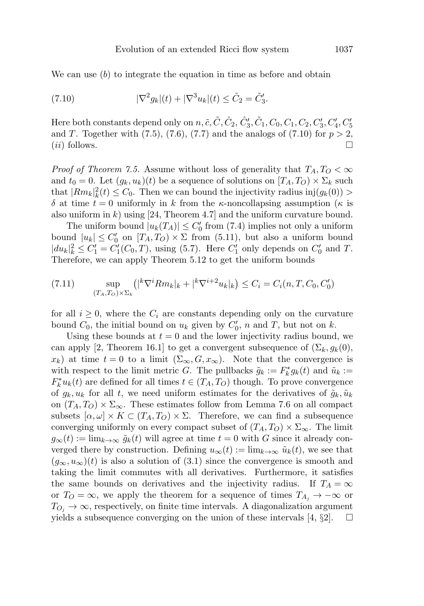We can use  $(b)$  to integrate the equation in time as before and obtain

(7.10) 
$$
|\nabla^2 g_k|(t) + |\nabla^3 u_k|(t) \le \tilde{C}_2 = \tilde{C}'_3.
$$

Here both constants depend only on  $n, \tilde{c}, \tilde{C}, \hat{C}_2, \hat{C}_3', \tilde{C}_1, C_0, C_1, C_2, C_3', C_4', C_5'$ and T. Together with  $(7.5)$ ,  $(7.6)$ ,  $(7.7)$  and the analogs of  $(7.10)$  for  $p > 2$ ,  $(ii)$  follows.  $\Box$ 

*Proof of Theorem 7.5.* Assume without loss of generality that  $T_A, T_O < \infty$ and  $t_0 = 0$ . Let  $(g_k, u_k)(t)$  be a sequence of solutions on  $[T_A, T_O] \times \Sigma_k$  such that  $|Rm_k|_k^2(t) \leq C_0$ . Then we can bound the injectivity radius inj $(g_k(0))$ δ at time  $t = 0$  uniformly in k from the κ-noncollapsing assumption (κ is also uniform in k) using [24, Theorem 4.7] and the uniform curvature bound.

The uniform bound  $|u_k(T_A)| \leq C'_0$  from (7.4) implies not only a uniform bound  $|u_k| \leq C'_0$  on  $[T_A, T_O] \times \Sigma$  from (5.11), but also a uniform bound  $|du_k|_k^2 \le C_1' = C_1'(C_0, T)$ , using (5.7). Here  $C_1'$  only depends on  $C_0'$  and T. Therefore, we can apply Theorem 5.12 to get the uniform bounds

(7.11) 
$$
\sup_{(T_A, T_O) \times \Sigma_k} ( |^k \nabla^i R m_k |_k + |^k \nabla^{i+2} u_k |_k ) \le C_i = C_i(n, T, C_0, C'_0)
$$

for all  $i \geq 0$ , where the  $C_i$  are constants depending only on the curvature bound  $C_0$ , the initial bound on  $u_k$  given by  $C'_0$ , n and T, but not on k.

Using these bounds at  $t = 0$  and the lower injectivity radius bound, we can apply [2, Theorem 16.1] to get a convergent subsequence of  $(\Sigma_k, g_k(0),$  $x_k$ ) at time  $t = 0$  to a limit  $(\Sigma_{\infty}, G, x_{\infty})$ . Note that the convergence is with respect to the limit metric G. The pullbacks  $\tilde{g}_k := F_k^* g_k(t)$  and  $\tilde{u}_k :=$  $F_k^* u_k(t)$  are defined for all times  $t \in (T_A, T_O)$  though. To prove convergence of  $g_k, u_k$  for all t, we need uniform estimates for the derivatives of  $\tilde{g}_k, \tilde{u}_k$ on  $(T_A, T_O) \times \Sigma_{\infty}$ . These estimates follow from Lemma 7.6 on all compact subsets  $[\alpha, \omega] \times K \subset (T_A, T_O) \times \Sigma$ . Therefore, we can find a subsequence converging uniformly on every compact subset of  $(T_A, T_O) \times \Sigma_{\infty}$ . The limit  $g_{\infty}(t) := \lim_{k \to \infty} \tilde{g}_k(t)$  will agree at time  $t = 0$  with G since it already converged there by construction. Defining  $u_{\infty}(t) := \lim_{k \to \infty} \tilde{u}_k(t)$ , we see that  $(g_{\infty}, u_{\infty})(t)$  is also a solution of (3.1) since the convergence is smooth and taking the limit commutes with all derivatives. Furthermore, it satisfies the same bounds on derivatives and the injectivity radius. If  $T_A = \infty$ or  $T_O = \infty$ , we apply the theorem for a sequence of times  $T_{A_i} \rightarrow -\infty$  or  $T_{O_i} \rightarrow \infty$ , respectively, on finite time intervals. A diagonalization argument yields a subsequence converging on the union of these intervals [4,  $\S2$ ].  $\Box$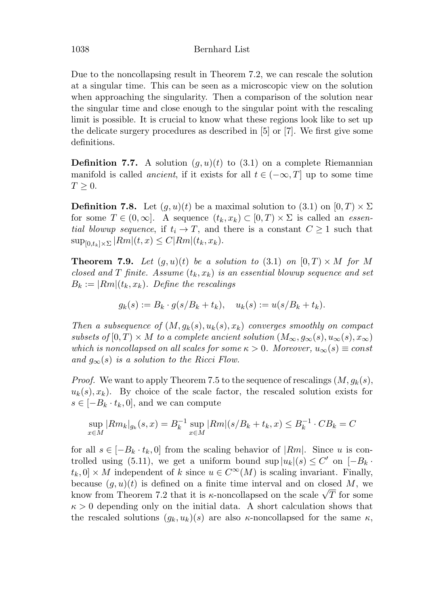Due to the noncollapsing result in Theorem 7.2, we can rescale the solution at a singular time. This can be seen as a microscopic view on the solution when approaching the singularity. Then a comparison of the solution near the singular time and close enough to the singular point with the rescaling limit is possible. It is crucial to know what these regions look like to set up the delicate surgery procedures as described in [5] or [7]. We first give some definitions.

**Definition 7.7.** A solution  $(g, u)(t)$  to  $(3.1)$  on a complete Riemannian manifold is called *ancient*, if it exists for all  $t \in (-\infty, T]$  up to some time  $T \geq 0$ .

**Definition 7.8.** Let  $(g, u)(t)$  be a maximal solution to  $(3.1)$  on  $[0, T) \times \Sigma$ for some  $T \in (0, \infty]$ . A sequence  $(t_k, x_k) \subset [0, T) \times \Sigma$  is called an *essen*tial blowup sequence, if  $t_i \to T$ , and there is a constant  $C \geq 1$  such that  $\sup_{[0,t_k]\times\Sigma} |Rm|(t,x) \leq C |Rm|(t_k,x_k).$ 

**Theorem 7.9.** Let  $(g, u)(t)$  be a solution to  $(3.1)$  on  $[0, T) \times M$  for M closed and T finite. Assume  $(t_k, x_k)$  is an essential blowup sequence and set  $B_k := |Rm|(t_k, x_k)$ . Define the rescalings

$$
g_k(s) := B_k \cdot g(s/B_k + t_k), \quad u_k(s) := u(s/B_k + t_k).
$$

Then a subsequence of  $(M, g_k(s), u_k(s), x_k)$  converges smoothly on compact subsets of  $[0, T) \times M$  to a complete ancient solution  $(M_{\infty}, g_{\infty}(s), u_{\infty}(s), x_{\infty})$ which is noncollapsed on all scales for some  $\kappa > 0$ . Moreover,  $u_{\infty}(s) \equiv const$ and  $g_{\infty}(s)$  is a solution to the Ricci Flow.

*Proof.* We want to apply Theorem 7.5 to the sequence of rescalings  $(M, g_k(s))$ ,  $u_k(s), x_k$ ). By choice of the scale factor, the rescaled solution exists for  $s \in [-B_k \cdot t_k, 0]$ , and we can compute

$$
\sup_{x \in M} |Rm_k|_{g_k}(s, x) = B_k^{-1} \sup_{x \in M} |Rm|(s/B_k + t_k, x) \le B_k^{-1} \cdot CB_k = C
$$

for all  $s \in [-B_k \cdot t_k, 0]$  from the scaling behavior of  $|Rm|$ . Since u is controlled using (5.11), we get a uniform bound sup  $|u_k|(s) \leq C'$  on  $[-B_k \cdot$  $t_k, 0] \times M$  independent of k since  $u \in C^{\infty}(M)$  is scaling invariant. Finally, because  $(g, u)(t)$  is defined on a finite time interval and on closed M, we because  $(g, u)(t)$  is defined on a finite time interval and on closed  $M$ , we<br>know from Theorem 7.2 that it is  $\kappa$ -noncollapsed on the scale  $\sqrt{T}$  for some  $\kappa > 0$  depending only on the initial data. A short calculation shows that the rescaled solutions  $(g_k, u_k)(s)$  are also  $\kappa$ -noncollapsed for the same  $\kappa$ ,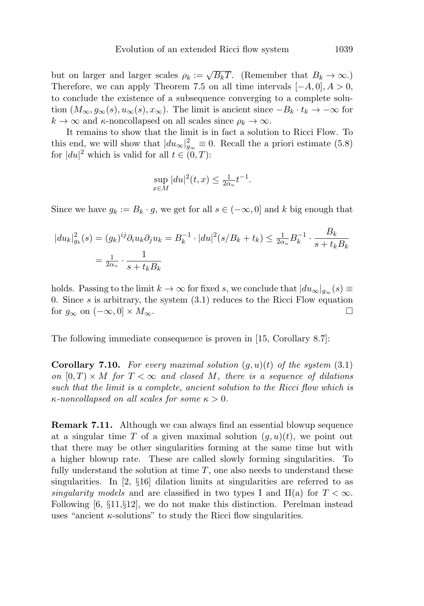but on larger and larger scales  $\rho_k := \sqrt{B_kT}$ . (Remember that  $B_k \to \infty$ .) Therefore, we can apply Theorem 7.5 on all time intervals  $[-A, 0], A > 0$ , to conclude the existence of a subsequence converging to a complete solution  $(M_{\infty}, g_{\infty}(s), u_{\infty}(s), x_{\infty})$ . The limit is ancient since  $-B_k \cdot t_k \to -\infty$  for  $k \to \infty$  and  $\kappa$ -noncollapsed on all scales since  $\rho_k \to \infty$ .

It remains to show that the limit is in fact a solution to Ricci Flow. To this end, we will show that  $|du_{\infty}|_{g_{\infty}}^2 \equiv 0$ . Recall the a priori estimate (5.8) for  $|du|^2$  which is valid for all  $t \in (0, T)$ :

$$
\sup_{x \in M} |du|^2(t, x) \le \frac{1}{2\alpha_n} t^{-1}.
$$

Since we have  $g_k := B_k \cdot g$ , we get for all  $s \in (-\infty, 0]$  and k big enough that

$$
|du_k|_{g_k}^2(s) = (g_k)^{ij} \partial_i u_k \partial_j u_k = B_k^{-1} \cdot |du|^2(s/B_k + t_k) \le \frac{1}{2\alpha_n} B_k^{-1} \cdot \frac{B_k}{s + t_k B_k}
$$
  
=  $\frac{1}{2\alpha_n} \cdot \frac{1}{s + t_k B_k}$ 

holds. Passing to the limit  $k \to \infty$  for fixed s, we conclude that  $|du_{\infty}|_{q_{\infty}}(s) \equiv$ 0. Since s is arbitrary, the system  $(3.1)$  reduces to the Ricci Flow equation for  $g_{\infty}$  on  $(-\infty, 0] \times M_{\infty}$ .  $\Box$ 

The following immediate consequence is proven in [15, Corollary 8.7]:

**Corollary 7.10.** For every maximal solution  $(g, u)(t)$  of the system  $(3.1)$ on  $[0, T) \times M$  for  $T < \infty$  and closed M, there is a sequence of dilations such that the limit is a complete, ancient solution to the Ricci flow which is  $\kappa$ -noncollapsed on all scales for some  $\kappa > 0$ .

**Remark 7.11.** Although we can always find an essential blowup sequence at a singular time T of a given maximal solution  $(q, u)(t)$ , we point out that there may be other singularities forming at the same time but with a higher blowup rate. These are called slowly forming singularities. To fully understand the solution at time  $T$ , one also needs to understand these singularities. In  $\left[2, \frac{6}{3}16\right]$  dilation limits at singularities are referred to as singularity models and are classified in two types I and II(a) for  $T < \infty$ . Following  $[6, \S11, \S12]$ , we do not make this distinction. Perelman instead uses "ancient  $\kappa$ -solutions" to study the Ricci flow singularities.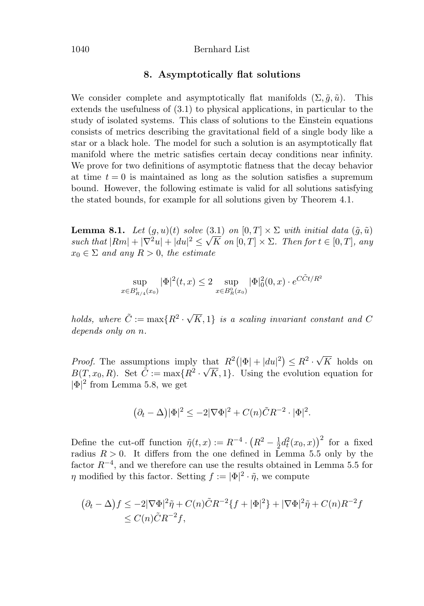#### 1040 Bernhard List

# **8. Asymptotically flat solutions**

We consider complete and asymptotically flat manifolds  $(\Sigma, \tilde{q}, \tilde{u})$ . This extends the usefulness of (3.1) to physical applications, in particular to the study of isolated systems. This class of solutions to the Einstein equations consists of metrics describing the gravitational field of a single body like a star or a black hole. The model for such a solution is an asymptotically flat manifold where the metric satisfies certain decay conditions near infinity. We prove for two definitions of asymptotic flatness that the decay behavior at time  $t = 0$  is maintained as long as the solution satisfies a supremum bound. However, the following estimate is valid for all solutions satisfying the stated bounds, for example for all solutions given by Theorem 4.1.

**Lemma 8.1.** Let  $(g, u)(t)$  solve  $(3.1)$  on  $[0, T] \times \Sigma$  with initial data  $(\tilde{g}, \tilde{u})$ **Lemma 8.1.** Let  $(g, u)(t)$  solve  $(3.1)$  on  $[0, 1] \times \mathbb{Z}$  with initial data  $(g, u)$ <br>such that  $|Rm| + |\nabla^2 u| + |du|^2 \leq \sqrt{K}$  on  $[0, T] \times \mathbb{Z}$ . Then for  $t \in [0, T]$ , any  $x_0 \in \Sigma$  and any  $R > 0$ , the estimate

$$
\sup_{x \in B_{R/4}^t(x_0)} |\Phi|^2(t, x) \le 2 \sup_{x \in B_R^0(x_0)} |\Phi|^2_0(0, x) \cdot e^{C\tilde{C}t/R^2}
$$

holds, where  $\tilde{C} := \max\{R^2 \cdot \sqrt{R^2} \}$ K, 1} is a scaling invariant constant and C depends only on n.

*Proof.* The assumptions imply that  $R^2(|\Phi|+|du|^2) \leq R^2 \cdot \sqrt{2}$ that  $R^2(|\Phi|+|du|^2) \leq R^2 \cdot \sqrt{K}$  holds on  $B(T, x_0, R)$ . Set  $\tilde{C} := \max\{R^2 \cdot \sqrt{K}, 1\}$ . Using the evolution equation for  $|\Phi|^2$  from Lemma 5.8, we get

$$
(\partial_t - \Delta)|\Phi|^2 \le -2|\nabla\Phi|^2 + C(n)\tilde{C}R^{-2} \cdot |\Phi|^2.
$$

Define the cut-off function  $\tilde{\eta}(t,x) := R^{-4} \cdot (R^2 - \frac{1}{2}d_t^2(x_0,x))^2$  for a fixed radius  $R > 0$ . It differs from the one defined in Lemma 5.5 only by the factor  $R^{-4}$ , and we therefore can use the results obtained in Lemma 5.5 for  $\eta$  modified by this factor. Setting  $f := |\Phi|^2 \cdot \tilde{\eta}$ , we compute

$$
(\partial_t - \Delta)f \le -2|\nabla\Phi|^2 \tilde{\eta} + C(n)\tilde{C}R^{-2}\{f + |\Phi|^2\} + |\nabla\Phi|^2 \tilde{\eta} + C(n)R^{-2}f
$$
  

$$
\le C(n)\tilde{C}R^{-2}f,
$$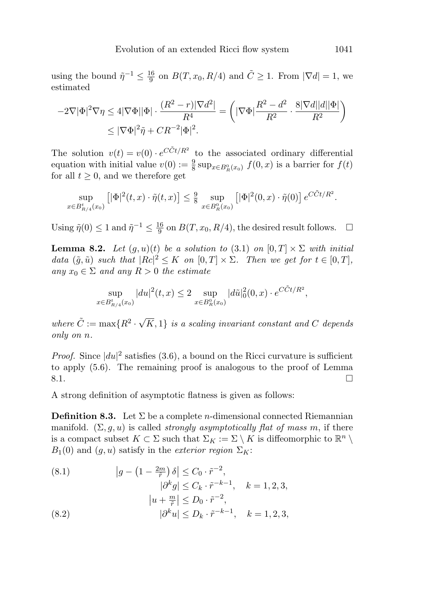using the bound  $\tilde{\eta}^{-1} \leq \frac{16}{9}$  on  $B(T, x_0, R/4)$  and  $\tilde{C} \geq 1$ . From  $|\nabla d| = 1$ , we estimated

$$
-2\nabla |\Phi|^2 \nabla \eta \le 4|\nabla \Phi||\Phi| \cdot \frac{(R^2 - r)|\nabla d^2|}{R^4} = \left(|\nabla \Phi| \frac{R^2 - d^2}{R^2} \cdot \frac{8|\nabla d||d||\Phi|}{R^2}\right)
$$

$$
\le |\nabla \Phi|^2 \tilde{\eta} + CR^{-2}|\Phi|^2.
$$

The solution  $v(t) = v(0) \cdot e^{C\tilde{C}t/R^2}$  to the associated ordinary differential equation with initial value  $v(0) := \frac{9}{8} \sup_{x \in B_R^0(x_0)} f(0, x)$  is a barrier for  $f(t)$ for all  $t \geq 0$ , and we therefore get

$$
\sup_{x \in B_{R/4}^t(x_0)} \left[ |\Phi|^2(t, x) \cdot \tilde{\eta}(t, x) \right] \le \frac{9}{8} \sup_{x \in B_R^0(x_0)} \left[ |\Phi|^2(0, x) \cdot \tilde{\eta}(0) \right] e^{C \tilde{C}t/R^2}.
$$

Using  $\tilde{\eta}(0) \leq 1$  and  $\tilde{\eta}^{-1} \leq \frac{16}{9}$  on  $B(T, x_0, R/4)$ , the desired result follows.  $\Box$ 

**Lemma 8.2.** Let  $(g, u)(t)$  be a solution to (3.1) on  $[0, T] \times \Sigma$  with initial data  $(\tilde{g}, \tilde{u})$  such that  $|Rc|^2 \leq K$  on  $[0, T] \times \Sigma$ . Then we get for  $t \in [0, T]$ , any  $x_0 \in \Sigma$  and any  $R > 0$  the estimate

$$
\sup_{x \in B_{R/4}^t(x_0)} |du|^2(t,x) \le 2 \sup_{x \in B_R^0(x_0)} |d\tilde{u}|_0^2(0,x) \cdot e^{C\tilde{C}t/R^2},
$$

where  $\tilde{C} := \max\{R^2 \cdot \sqrt{2}\}$  $K, 1$  is a scaling invariant constant and C depends only on n.

*Proof.* Since  $|du|^2$  satisfies (3.6), a bound on the Ricci curvature is sufficient to apply (5.6). The remaining proof is analogous to the proof of Lemma  $8.1.$  $\Box$ 

A strong definition of asymptotic flatness is given as follows:

**Definition 8.3.** Let  $\Sigma$  be a complete *n*-dimensional connected Riemannian manifold.  $(\Sigma, g, u)$  is called *strongly asymptotically flat of mass m*, if there is a compact subset  $K \subset \Sigma$  such that  $\Sigma_K := \Sigma \setminus K$  is diffeomorphic to  $\mathbb{R}^n \setminus$  $B_1(0)$  and  $(g, u)$  satisfy in the *exterior region*  $\Sigma_K$ :

(8.1) 
$$
\begin{aligned} |g - (1 - \frac{2m}{\tilde{r}}) \delta| &\le C_0 \cdot \tilde{r}^{-2}, \\ |\partial^k g| &\le C_k \cdot \tilde{r}^{-k-1}, \quad k = 1, 2, 3, \\ |u + \frac{m}{\tilde{r}}| &\le D_0 \cdot \tilde{r}^{-2}, \\ (8.2) \qquad & |\partial^k u| &\le D_k \cdot \tilde{r}^{-k-1}, \quad k = 1, 2, 3, \end{aligned}
$$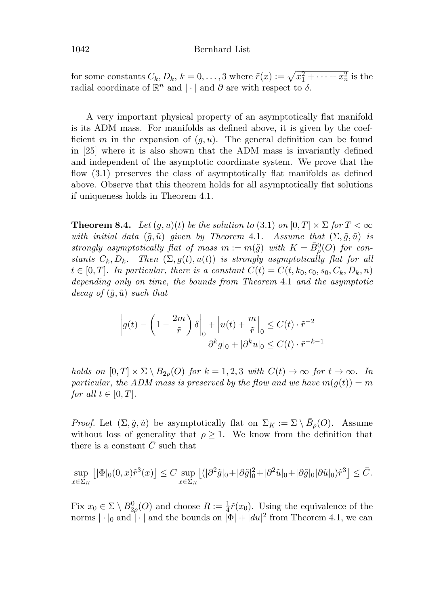## 1042 Bernhard List

for some constants  $C_k, D_k, k = 0, \ldots, 3$  where  $\tilde{r}(x) := \sqrt{x_1^2 + \cdots + x_n^2}$  is the radial coordinate of  $\mathbb{R}^n$  and  $|\cdot|$  and  $\partial$  are with respect to  $\delta$ .

A very important physical property of an asymptotically flat manifold is its ADM mass. For manifolds as defined above, it is given by the coefficient m in the expansion of  $(g, u)$ . The general definition can be found in [25] where it is also shown that the ADM mass is invariantly defined and independent of the asymptotic coordinate system. We prove that the flow (3.1) preserves the class of asymptotically flat manifolds as defined above. Observe that this theorem holds for all asymptotically flat solutions if uniqueness holds in Theorem 4.1.

**Theorem 8.4.** Let  $(q, u)(t)$  be the solution to  $(3.1)$  on  $[0, T] \times \Sigma$  for  $T < \infty$ with initial data  $(\tilde{g}, \tilde{u})$  given by Theorem 4.1. Assume that  $(\Sigma, \tilde{g}, \tilde{u})$  is strongly asymptotically flat of mass  $m := m(\tilde{g})$  with  $K = \bar{B}_{\rho}^{0}(O)$  for constants  $C_k, D_k$ . Then  $(\Sigma, g(t), u(t))$  is strongly asymptotically flat for all  $t \in [0, T]$ . In particular, there is a constant  $C(t) = C(t, k_0, c_0, s_0, C_k, D_k, n)$ depending only on time, the bounds from Theorem 4.1 and the asymptotic decay of  $(\tilde{g}, \tilde{u})$  such that

$$
\left| g(t) - \left( 1 - \frac{2m}{\tilde{r}} \right) \delta \right|_0 + \left| u(t) + \frac{m}{\tilde{r}} \right|_0 \le C(t) \cdot \tilde{r}^{-2}
$$

$$
|\partial^k g|_0 + |\partial^k u|_0 \le C(t) \cdot \tilde{r}^{-k-1}
$$

holds on  $[0, T] \times \Sigma \setminus B_{2\rho}(O)$  for  $k = 1, 2, 3$  with  $C(t) \to \infty$  for  $t \to \infty$ . In particular, the ADM mass is preserved by the flow and we have  $m(q(t)) = m$ for all  $t \in [0, T]$ .

*Proof.* Let  $(\Sigma, \tilde{g}, \tilde{u})$  be asymptotically flat on  $\Sigma_K := \Sigma \setminus \bar{B}_{\rho}(O)$ . Assume without loss of generality that  $\rho \geq 1$ . We know from the definition that there is a constant  $\overline{C}$  such that

$$
\sup_{x \in \Sigma_K} \left[ |\Phi|_0(0, x) \tilde{r}^3(x) \right] \le C \sup_{x \in \Sigma_K} \left[ (|\partial^2 \tilde{g}|_0 + |\partial \tilde{g}|_0^2 + |\partial^2 \tilde{u}|_0 + |\partial \tilde{g}|_0 |\partial \tilde{u}|_0) \tilde{r}^3 \right] \le \bar{C}.
$$

Fix  $x_0 \in \Sigma \setminus B^0_{2\rho}(O)$  and choose  $R := \frac{1}{4}\tilde{r}(x_0)$ . Using the equivalence of the norms  $|\cdot|_0$  and  $|\cdot|$  and the bounds on  $|\Phi| + |du|^2$  from Theorem 4.1, we can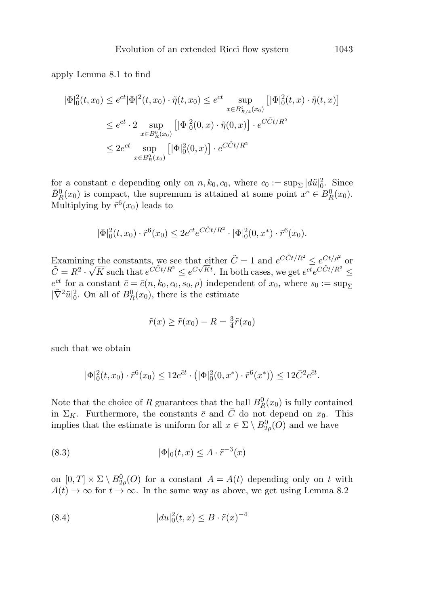apply Lemma 8.1 to find

$$
|\Phi|_{0}^{2}(t, x_{0}) \leq e^{ct} |\Phi|^{2}(t, x_{0}) \cdot \tilde{\eta}(t, x_{0}) \leq e^{ct} \sup_{x \in B_{R/4}^{t}(x_{0})} [|\Phi|_{0}^{2}(t, x) \cdot \tilde{\eta}(t, x)]
$$
  

$$
\leq e^{ct} \cdot 2 \sup_{x \in B_{R}^{0}(x_{0})} [|\Phi|_{0}^{2}(0, x) \cdot \tilde{\eta}(0, x)] \cdot e^{C\tilde{C}t/R^{2}}
$$
  

$$
\leq 2e^{ct} \sup_{x \in B_{R}^{0}(x_{0})} [|\Phi|_{0}^{2}(0, x)] \cdot e^{C\tilde{C}t/R^{2}}
$$

for a constant c depending only on  $n, k_0, c_0$ , where  $c_0 := \sup_{\Sigma} |d\tilde{u}|_0^2$ . Since  $\bar{B}_R^0(x_0)$  is compact, the supremum is attained at some point  $x^* \in B_R^0(x_0)$ . Multiplying by  $\tilde{r}^6(x_0)$  leads to

$$
|\Phi|_0^2(t, x_0) \cdot \tilde{r}^6(x_0) \le 2e^{ct} e^{C\tilde{C}t/R^2} \cdot |\Phi|_0^2(0, x^*) \cdot \tilde{r}^6(x_0).
$$

Examining the constants, we see that either  $\tilde{C} = 1$  and  $e^{C\tilde{C}t/R^2} \leq e^{Ct/\rho^2}$  or Examining the constants, we see that either  $C = 1$  and  $e^{-i\omega t} \leq e^{-i\omega t}$  or  $\tilde{C} = R^2 \cdot \sqrt{K}$  such that  $e^{C\tilde{C}t/R^2} \leq e^{C\sqrt{K}t}$ . In both cases, we get  $e^{ct}e^{C\tilde{C}t/R^2} \leq$  $e^{\bar{c}t}$  for a constant  $\bar{c} = \bar{c}(n, k_0, c_0, s_0, \rho)$  independent of  $x_0$ , where  $s_0 := \sup_{\Sigma}$  $|\tilde{\nabla}^2 \tilde{u}|_0^2$ . On all of  $B_R^0(x_0)$ , there is the estimate

$$
\tilde{r}(x) \ge \tilde{r}(x_0) - R = \frac{3}{4}\tilde{r}(x_0)
$$

such that we obtain

$$
|\Phi|_0^2(t, x_0) \cdot \tilde{r}^6(x_0) \le 12e^{\bar{c}t} \cdot (|\Phi|_0^2(0, x^*) \cdot \tilde{r}^6(x^*)) \le 12\bar{C}^2 e^{\bar{c}t}.
$$

Note that the choice of R guarantees that the ball  $B_R^0(x_0)$  is fully contained in  $\Sigma_K$ . Furthermore, the constants  $\bar{c}$  and  $\bar{C}$  do not depend on  $x_0$ . This implies that the estimate is uniform for all  $x \in \Sigma \setminus B^0_{2\rho}(O)$  and we have

$$
(8.3) \qquad |\Phi|_0(t,x) \le A \cdot \tilde{r}^{-3}(x)
$$

on  $[0, T] \times \Sigma \setminus B_{2\rho}^0(O)$  for a constant  $A = A(t)$  depending only on t with  $A(t) \to \infty$  for  $t \to \infty$ . In the same way as above, we get using Lemma 8.2

(8.4) 
$$
|du|_0^2(t,x) \leq B \cdot \tilde{r}(x)^{-4}
$$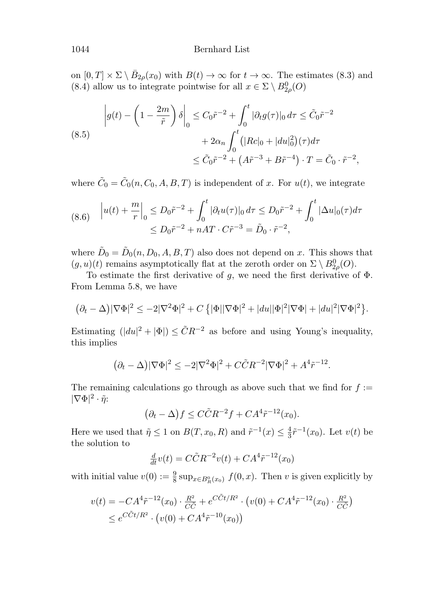## 1044 Bernhard List

on  $[0, T] \times \Sigma \setminus \overline{B}_{2\rho}(x_0)$  with  $B(t) \to \infty$  for  $t \to \infty$ . The estimates (8.3) and (8.4) allow us to integrate pointwise for all  $x \in \Sigma \setminus B^0_{2\rho}(O)$ 

(8.5)  

$$
\left| g(t) - \left( 1 - \frac{2m}{\tilde{r}} \right) \delta \right|_0 \leq C_0 \tilde{r}^{-2} + \int_0^t |\partial_t g(\tau)|_0 d\tau \leq \tilde{C}_0 \tilde{r}^{-2} + 2\alpha_n \int_0^t \left( |Rc|_0 + |du|_0^2 \right) (\tau) d\tau \leq \tilde{C}_0 \tilde{r}^{-2} + \left( A \tilde{r}^{-3} + B \tilde{r}^{-4} \right) \cdot T = \tilde{C}_0 \cdot \tilde{r}^{-2},
$$

where  $\tilde{C}_0 = \tilde{C}_0(n, C_0, A, B, T)$  is independent of x. For  $u(t)$ , we integrate

$$
(8.6) \quad |u(t) + \frac{m}{r}|_0 \le D_0 \tilde{r}^{-2} + \int_0^t |\partial_t u(\tau)|_0 d\tau \le D_0 \tilde{r}^{-2} + \int_0^t |\Delta u|_0(\tau) d\tau
$$
  

$$
\le D_0 \tilde{r}^{-2} + nAT \cdot C \tilde{r}^{-3} = \tilde{D}_0 \cdot \tilde{r}^{-2},
$$

where  $\tilde{D}_0 = \tilde{D}_0(n, D_0, A, B, T)$  also does not depend on x. This shows that  $(g, u)(t)$  remains asymptotically flat at the zeroth order on  $\Sigma \setminus B_{2\rho}^0(O)$ .

To estimate the first derivative of g, we need the first derivative of  $\Phi$ . From Lemma 5.8, we have

$$
(\partial_t - \Delta)|\nabla\Phi|^2 \le -2|\nabla^2\Phi|^2 + C\left{\vert \Phi \vert \vert \nabla\Phi \vert^2 + |du||\Phi|^2\vert \nabla\Phi \vert + |du|^2\vert \nabla\Phi \vert^2 \right}.
$$

Estimating  $(|du|^2 + |\Phi|) \leq \tilde{C}R^{-2}$  as before and using Young's inequality, this implies

$$
(\partial_t - \Delta)|\nabla\Phi|^2 \le -2|\nabla^2\Phi|^2 + C\tilde{C}R^{-2}|\nabla\Phi|^2 + A^4\tilde{r}^{-12}.
$$

The remaining calculations go through as above such that we find for  $f :=$  $|\nabla \Phi|^2 \cdot \tilde{\eta}$ :

 $(\partial_t - \Delta) f \leq C \tilde{C} R^{-2} f + C A^4 \tilde{r}^{-12}(x_0).$ 

Here we used that  $\tilde{\eta} \leq 1$  on  $B(T, x_0, R)$  and  $\tilde{r}^{-1}(x) \leq \frac{4}{3}\tilde{r}^{-1}(x_0)$ . Let  $v(t)$  be the solution to

$$
\frac{d}{dt}v(t) = C\tilde{C}R^{-2}v(t) + CA^4\tilde{r}^{-12}(x_0)
$$

with initial value  $v(0) := \frac{9}{8} \sup_{x \in B_R^0(x_0)} f(0, x)$ . Then v is given explicitly by

$$
v(t) = -CA^{4}\tilde{r}^{-12}(x_{0}) \cdot \frac{R^{2}}{C\tilde{C}} + e^{C\tilde{C}t/R^{2}} \cdot (v(0) + CA^{4}\tilde{r}^{-12}(x_{0}) \cdot \frac{R^{2}}{C\tilde{C}})
$$
  
\$\le e^{C\tilde{C}t/R^{2}} \cdot (v(0) + CA^{4}\tilde{r}^{-10}(x\_{0}))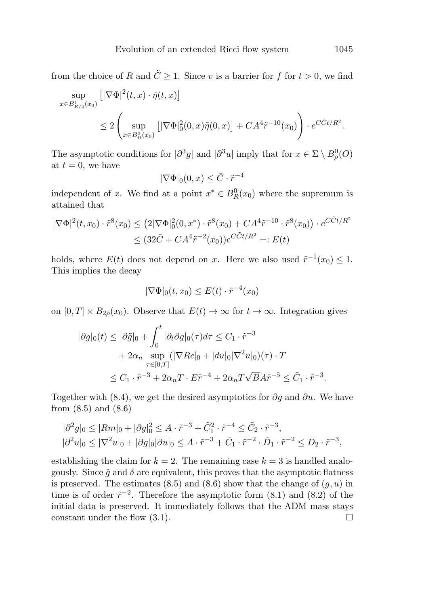from the choice of R and  $\tilde{C} \geq 1$ . Since v is a barrier for f for  $t > 0$ , we find

$$
\sup_{x \in B_{R/4}^t(x_0)} [|\nabla \Phi|^2(t, x) \cdot \tilde{\eta}(t, x)]
$$
\n
$$
\leq 2 \left( \sup_{x \in B_R^0(x_0)} [|\nabla \Phi|_0^2(0, x) \tilde{\eta}(0, x)] + CA^4 \tilde{r}^{-10}(x_0) \right) \cdot e^{C \tilde{C}t/R^2}.
$$

The asymptotic conditions for  $|\partial^3 g|$  and  $|\partial^3 u|$  imply that for  $x \in \Sigma \setminus B^0_\rho(O)$ at  $t = 0$ , we have

$$
|\nabla \Phi|_0(0, x) \leq \bar{C} \cdot \tilde{r}^{-4}
$$

independent of x. We find at a point  $x^* \in B_R^0(x_0)$  where the supremum is attained that

$$
|\nabla \Phi|^2(t, x_0) \cdot \tilde{r}^8(x_0) \le (2|\nabla \Phi|_0^2(0, x^*) \cdot \tilde{r}^8(x_0) + CA^4 \tilde{r}^{-10} \cdot \tilde{r}^8(x_0)) \cdot e^{C\tilde{C}t/R^2}
$$
  

$$
\le (32\bar{C} + CA^4 \tilde{r}^{-2}(x_0))e^{C\tilde{C}t/R^2} =: E(t)
$$

holds, where  $E(t)$  does not depend on x. Here we also used  $\tilde{r}^{-1}(x_0) \leq 1$ . This implies the decay

$$
|\nabla \Phi|_0(t, x_0) \le E(t) \cdot \tilde{r}^{-4}(x_0)
$$

on  $[0, T] \times B_{2\rho}(x_0)$ . Observe that  $E(t) \to \infty$  for  $t \to \infty$ . Integration gives

$$
|\partial g|_0(t) \leq |\partial \tilde{g}|_0 + \int_0^t |\partial_t \partial g|_0(\tau) d\tau \leq C_1 \cdot \tilde{r}^{-3}
$$
  
+  $2\alpha_n \sup_{\tau \in [0,T]} (|\nabla Rc|_0 + |du|_0 |\nabla^2 u|_0)(\tau) \cdot T$   
 $\leq C_1 \cdot \tilde{r}^{-3} + 2\alpha_n T \cdot E\tilde{r}^{-4} + 2\alpha_n T \sqrt{B} A\tilde{r}^{-5} \leq \tilde{C}_1 \cdot \tilde{r}^{-3}.$ 

Together with (8.4), we get the desired asymptotics for  $\partial g$  and  $\partial u$ . We have from (8.5) and (8.6)

$$
\begin{aligned} |\partial^2 g|_0 &\le |Rm|_0 + |\partial g|^2_0 \le A \cdot \tilde{r}^{-3} + \tilde{C}_1^2 \cdot \tilde{r}^{-4} \le \tilde{C}_2 \cdot \tilde{r}^{-3}, \\ |\partial^2 u|_0 &\le |\nabla^2 u|_0 + |\partial g|_0 |\partial u|_0 \le A \cdot \tilde{r}^{-3} + \tilde{C}_1 \cdot \tilde{r}^{-2} \cdot \tilde{D}_1 \cdot \tilde{r}^{-2} \le D_2 \cdot \tilde{r}^{-3}, \end{aligned}
$$

establishing the claim for  $k = 2$ . The remaining case  $k = 3$  is handled analogously. Since  $\tilde{g}$  and  $\delta$  are equivalent, this proves that the asymptotic flatness is preserved. The estimates  $(8.5)$  and  $(8.6)$  show that the change of  $(q, u)$  in time is of order  $\tilde{r}^{-2}$ . Therefore the asymptotic form (8.1) and (8.2) of the initial data is preserved. It immediately follows that the ADM mass stays constant under the flow  $(3.1)$ .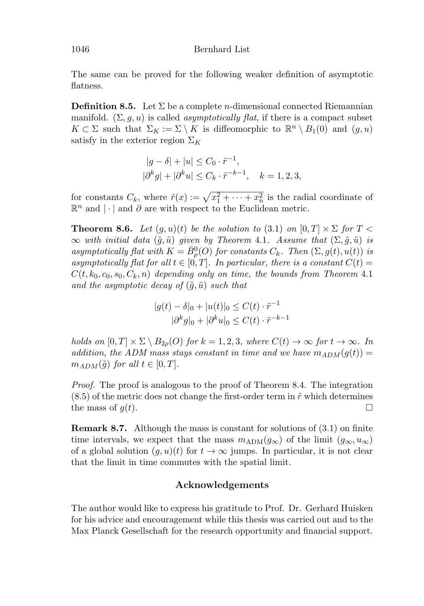The same can be proved for the following weaker definition of asymptotic flatness.

**Definition 8.5.** Let  $\Sigma$  be a complete *n*-dimensional connected Riemannian manifold.  $(\Sigma, g, u)$  is called *asymptotically flat*, if there is a compact subset  $K \subset \Sigma$  such that  $\Sigma_K := \Sigma \setminus K$  is diffeomorphic to  $\mathbb{R}^n \setminus B_1(0)$  and  $(g, u)$ satisfy in the exterior region  $\Sigma_K$ 

$$
|g - \delta| + |u| \leq C_0 \cdot \tilde{r}^{-1},
$$
  

$$
|\partial^k g| + |\partial^k u| \leq C_k \cdot \tilde{r}^{-k-1}, \quad k = 1, 2, 3,
$$

for constants  $C_k$ , where  $\tilde{r}(x) := \sqrt{x_1^2 + \cdots + x_n^2}$  is the radial coordinate of  $\mathbb{R}^n$  and |⋅| and  $\partial$  are with respect to the Euclidean metric.

**Theorem 8.6.** Let  $(g, u)(t)$  be the solution to  $(3.1)$  on  $[0, T] \times \Sigma$  for  $T <$  $\infty$  with initial data  $(\tilde{g}, \tilde{u})$  given by Theorem 4.1. Assume that  $(\Sigma, \tilde{g}, \tilde{u})$  is asymptotically flat with  $K = \bar{B}_{\rho}(O)$  for constants  $C_k$ . Then  $(\Sigma, g(t), u(t))$  is asymptotically flat for all  $t \in [0,T]$ . In particular, there is a constant  $C(t) =$  $C(t, k_0, c_0, s_0, C_k, n)$  depending only on time, the bounds from Theorem 4.1 and the asymptotic decay of  $(\tilde{g}, \tilde{u})$  such that

$$
|g(t) - \delta|_0 + |u(t)|_0 \le C(t) \cdot \tilde{r}^{-1}
$$
  

$$
|\partial^k g|_0 + |\partial^k u|_0 \le C(t) \cdot \tilde{r}^{-k-1}
$$

holds on  $[0, T] \times \Sigma \setminus B_{2\rho}(O)$  for  $k = 1, 2, 3$ , where  $C(t) \to \infty$  for  $t \to \infty$ . In addition, the ADM mass stays constant in time and we have  $m_{ADM}(g(t)) =$  $m_{ADM}(\tilde{g})$  for all  $t \in [0,T]$ .

Proof. The proof is analogous to the proof of Theorem 8.4. The integration  $(8.5)$  of the metric does not change the first-order term in  $\tilde{r}$  which determines the mass of  $q(t)$ .  $\Box$ 

**Remark 8.7.** Although the mass is constant for solutions of  $(3.1)$  on finite time intervals, we expect that the mass  $m_{\text{ADM}}(g_{\infty})$  of the limit  $(g_{\infty}, u_{\infty})$ of a global solution  $(g, u)(t)$  for  $t \to \infty$  jumps. In particular, it is not clear that the limit in time commutes with the spatial limit.

# **Acknowledgements**

The author would like to express his gratitude to Prof. Dr. Gerhard Huisken for his advice and encouragement while this thesis was carried out and to the Max Planck Gesellschaft for the research opportunity and financial support.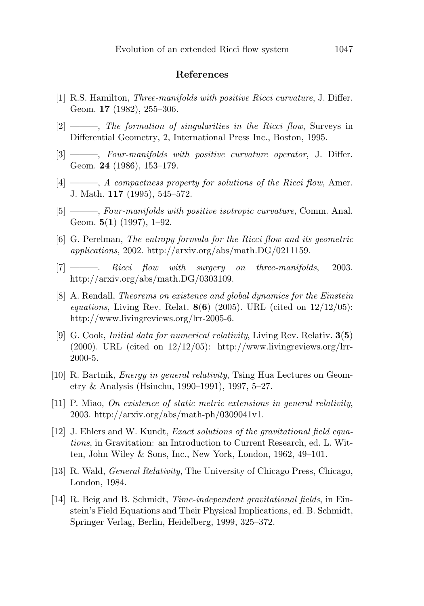## **References**

- [1] R.S. Hamilton, Three-manifolds with positive Ricci curvature, J. Differ. Geom. **17** (1982), 255–306.
- [2] ———, The formation of singularities in the Ricci flow, Surveys in Differential Geometry, 2, International Press Inc., Boston, 1995.
- [3] ———, Four-manifolds with positive curvature operator, J. Differ. Geom. **24** (1986), 153–179.
- $[4] \longrightarrow A$  compactness property for solutions of the Ricci flow, Amer. J. Math. **117** (1995), 545–572.
- [5] ——, Four-manifolds with positive isotropic curvature, Comm. Anal. Geom. **5**(**1**) (1997), 1–92.
- [6] G. Perelman, The entropy formula for the Ricci flow and its geometric applications, 2002. http://arxiv.org/abs/math.DG/0211159.
- [7] ———. Ricci flow with surgery on three-manifolds, 2003. http://arxiv.org/abs/math.DG/0303109.
- [8] A. Rendall, Theorems on existence and global dynamics for the Einstein equations, Living Rev. Relat. **8**(**6**) (2005). URL (cited on 12/12/05): http://www.livingreviews.org/lrr-2005-6.
- [9] G. Cook, Initial data for numerical relativity, Living Rev. Relativ. **3**(**5**)  $(2000)$ . URL (cited on  $12/12/05$ ): http://www.livingreviews.org/lrr-2000-5.
- [10] R. Bartnik, Energy in general relativity, Tsing Hua Lectures on Geometry & Analysis (Hsinchu, 1990–1991), 1997, 5–27.
- [11] P. Miao, On existence of static metric extensions in general relativity, 2003. http://arxiv.org/abs/math-ph/0309041v1.
- [12] J. Ehlers and W. Kundt, Exact solutions of the gravitational field equations, in Gravitation: an Introduction to Current Research, ed. L. Witten, John Wiley & Sons, Inc., New York, London, 1962, 49–101.
- [13] R. Wald, General Relativity, The University of Chicago Press, Chicago, London, 1984.
- [14] R. Beig and B. Schmidt, Time-independent gravitational fields, in Einstein's Field Equations and Their Physical Implications, ed. B. Schmidt, Springer Verlag, Berlin, Heidelberg, 1999, 325–372.